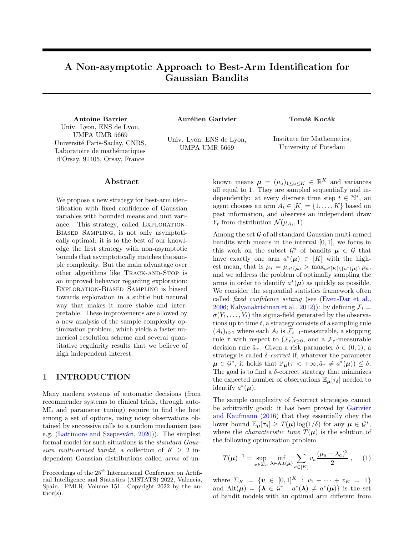# A Non-asymptotic Approach to Best-Arm Identification for Gaussian Bandits

Antoine Barrier **Aurélien Garivier** Tomáš Kocák Univ. Lyon, ENS de Lyon, UMPA UMR 5669 Université Paris-Saclay, CNRS, Laboratoire de mathématiques d'Orsay, 91405, Orsay, France

Univ. Lyon, ENS de Lyon, UMPA UMR 5669

Institute for Mathematics, University of Potsdam

## Abstract

We propose a new strategy for best-arm identification with fixed confidence of Gaussian variables with bounded means and unit variance. This strategy, called EXPLORATION-Biased Sampling, is not only asymptotically optimal: it is to the best of our knowledge the first strategy with non-asymptotic bounds that asymptotically matches the sample complexity. But the main advantage over other algorithms like Track-and-Stop is an improved behavior regarding exploration: Exploration-Biased Sampling is biased towards exploration in a subtle but natural way that makes it more stable and interpretable. These improvements are allowed by a new analysis of the sample complexity optimization problem, which yields a faster numerical resolution scheme and several quantitative regularity results that we believe of high independent interest.

# <span id="page-0-1"></span>1 INTRODUCTION

Many modern systems of automatic decisions (from recommender systems to clinical trials, through auto-ML and parameter tuning) require to find the best among a set of options, using noisy observations obtained by successive calls to a random mechanism (see e.g. (Lattimore and Szepesvári,  $2020$ )). The simplest formal model for such situations is the standard Gaussian multi-armed bandit, a collection of  $K > 2$  independent Gaussian distributions called arms of un-

known means  $\mu = (\mu_a)_{1 \leq a \leq K} \in \mathbb{R}^K$  and variances all equal to 1. They are sampled sequentially and independently: at every discrete time step  $t \in \mathbb{N}^*$ , and agent chooses an arm  $A_t \in [K] = \{1, \ldots, K\}$  based on past information, and observes an independent draw  $Y_t$  from distribution  $\mathcal{N}(\mu_{A_t}, 1)$ .

Among the set  $G$  of all standard Gaussian multi-armed bandits with means in the interval  $[0, 1]$ , we focus in this work on the subset  $\mathcal{G}^*$  of bandits  $\mu \in \mathcal{G}$  that have exactly one arm  $a^*(\mu) \in [K]$  with the highest mean, that is  $\mu_* = \mu_{a^*(\mu)} > \max_{a \in [K] \setminus \{a^*(\mu)\}} \mu_a$ , and we address the problem of optimally sampling the arms in order to identify  $a^*(\mu)$  as quickly as possible. We consider the sequential statistics framework often called fixed confidence setting (see [\(Even-Dar et al.,](#page-9-1) [2006;](#page-9-1) [Kalyanakrishnan et al.,](#page-9-2) [2012\)](#page-9-2)): by defining  $\mathcal{F}_t$  =  $\sigma(Y_1, \ldots, Y_t)$  the sigma-field generated by the observations up to time  $t$ , a strategy consists of a sampling rule  $(A_t)_{t>1}$  where each  $A_t$  is  $\mathcal{F}_{t-1}$ -measurable, a stopping rule  $\tau$  with respect to  $(\mathcal{F}_t)_{t>0}$ , and a  $\mathcal{F}_{\tau}$ -measurable decision rule  $\hat{a}_{\tau}$ . Given a risk parameter  $\delta \in (0,1)$ , a strategy is called  $\delta$ -correct if, whatever the parameter  $\mu \in \mathcal{G}^*$ , it holds that  $\mathbb{P}_{\mu}(\tau < +\infty, \hat{a}_{\tau} \neq a^*(\mu)) \leq \delta$ . The goal is to find a  $\delta$ -correct strategy that minimizes the expected number of observations  $\mathbb{E}_{\mu}[\tau_{\delta}]$  needed to identify  $a^*(\mu)$ .

The sample complexity of  $\delta$ -correct strategies cannot be arbitrarily good: it has been proved by [Garivier](#page-9-3) [and Kaufmann](#page-9-3) [\(2016\)](#page-9-3) that they essentially obey the lower bound  $\mathbb{E}_{\mu}[\tau_{\delta}] \geq T(\mu) \log(1/\delta)$  for any  $\mu \in \mathcal{G}^*$ , where the *characteristic time*  $T(\mu)$  is the solution of the following optimization problem

<span id="page-0-0"></span>
$$
T(\boldsymbol{\mu})^{-1} = \sup_{\boldsymbol{v}\in\Sigma_K} \inf_{\boldsymbol{\lambda}\in\text{Alt}(\boldsymbol{\mu})} \sum_{a\in[K]} v_a \frac{(\mu_a - \lambda_a)^2}{2} , \quad (1)
$$

where  $\Sigma_{K} = \{v \in [0,1]^{K} : v_1 + \cdots + v_K = 1\}$ and  $\text{Alt}(\mu) = {\lambda \in \mathcal{G}^* : a^*(\lambda) \neq a^*(\mu)}$  is the set of bandit models with an optimal arm different from

Proceedings of the  $25<sup>th</sup>$  International Conference on Artificial Intelligence and Statistics (AISTATS) 2022, Valencia, Spain. PMLR: Volume 151. Copyright 2022 by the author(s).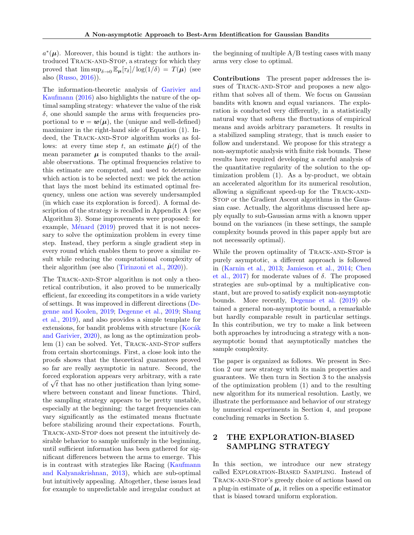$a^*(\mu)$ . Moreover, this bound is tight: the authors introduced Track-and-Stop, a strategy for which they proved that  $\limsup_{\delta \to 0} \mathbb{E}_{\mu}[\tau_{\delta}]/\log(1/\delta) = T(\mu)$  (see also [\(Russo,](#page-9-4) [2016\)](#page-9-4)).

The information-theoretic analysis of [Garivier and](#page-9-3) [Kaufmann](#page-9-3) [\(2016\)](#page-9-3) also highlights the nature of the optimal sampling strategy: whatever the value of the risk  $\delta$ , one should sample the arms with frequencies proportional to  $v = w(\mu)$ , the (unique and well-defined) maximizer in the right-hand side of Equation [\(1\)](#page-0-0). Indeed, the TRACK-AND-STOP algorithm works as follows: at every time step t, an estimate  $\hat{\mu}(t)$  of the mean parameter  $\mu$  is computed thanks to the available observations. The optimal frequencies relative to this estimate are computed, and used to determine which action is to be selected next: we pick the action that lays the most behind its estimated optimal frequency, unless one action was severely undersampled (in which case its exploration is forced). A formal description of the strategy is recalled in Appendix [A](#page-10-0) (see Algorithm [3\)](#page-10-1). Some improvements were proposed: for example, Ménard  $(2019)$  proved that it is not necessary to solve the optimization problem in every time step. Instead, they perform a single gradient step in every round which enables them to prove a similar result while reducing the computational complexity of their algorithm (see also [\(Tirinzoni et al.,](#page-9-6) [2020\)](#page-9-6)).

The TRACK-AND-STOP algorithm is not only a theoretical contribution, it also proved to be numerically efficient, far exceeding its competitors in a wide variety of settings. It was improved in different directions [\(De](#page-8-0)[genne and Koolen,](#page-8-0) [2019;](#page-8-0) [Degenne et al.,](#page-8-1) [2019;](#page-8-1) [Shang](#page-9-7) [et al.,](#page-9-7) [2019\)](#page-9-7), and also provides a simple template for  $extensors, for bandit problems with structure (Kocák)$ [and Garivier,](#page-9-8) [2020\)](#page-9-8), as long as the optimization prob-lem [\(1\)](#page-0-0) can be solved. Yet, TRACK-AND-STOP suffers from certain shortcomings. First, a close look into the proofs shows that the theoretical guarantees proved so far are really asymptotic in nature. Second, the forced exploration appears very arbitrary, with a rate forced exploration appears very arbitrary, with a rate of  $\sqrt{t}$  that has no other justification than lying somewhere between constant and linear functions. Third, the sampling strategy appears to be pretty unstable, especially at the beginning: the target frequencies can vary significantly as the estimated means fluctuate before stabilizing around their expectations. Fourth, Track-and-Stop does not present the intuitively desirable behavior to sample uniformly in the beginning, until sufficient information has been gathered for significant differences between the arms to emerge. This is in contrast with strategies like Racing [\(Kaufmann](#page-9-9) [and Kalyanakrishnan,](#page-9-9) [2013\)](#page-9-9), which are sub-optimal but intuitively appealing. Altogether, these issues lead for example to unpredictable and irregular conduct at

the beginning of multiple  $A/B$  testing cases with many arms very close to optimal.

Contributions The present paper addresses the issues of TRACK-AND-STOP and proposes a new algorithm that solves all of them. We focus on Gaussian bandits with known and equal variances. The exploration is conducted very differently, in a statistically natural way that softens the fluctuations of empirical means and avoids arbitrary parameters. It results in a stabilized sampling strategy, that is much easier to follow and understand. We propose for this strategy a non-asymptotic analysis with finite risk bounds. These results have required developing a careful analysis of the quantitative regularity of the solution to the optimization problem [\(1\)](#page-0-0). As a by-product, we obtain an accelerated algorithm for its numerical resolution, allowing a significant speed-up for the Track-and-Stop or the Gradient Ascent algorithms in the Gaussian case. Actually, the algorithms discussed here apply equally to sub-Gaussian arms with a known upper bound on the variances (in these settings, the sample complexity bounds proved in this paper apply but are not necessarily optimal).

While the proven optimality of TRACK-AND-STOP is purely asymptotic, a different approach is followed in [\(Karnin et al.,](#page-9-10) [2013;](#page-9-10) [Jamieson et al.,](#page-9-11) [2014;](#page-9-11) [Chen](#page-8-2) [et al.,](#page-8-2) [2017\)](#page-8-2) for moderate values of  $\delta$ . The proposed strategies are sub-optimal by a multiplicative constant, but are proved to satisfy explicit non-asymptotic bounds. More recently, [Degenne et al.](#page-8-1) [\(2019\)](#page-8-1) obtained a general non-asymptotic bound, a remarkable but hardly comparable result in particular settings. In this contribution, we try to make a link between both approaches by introducing a strategy with a nonasymptotic bound that asymptotically matches the sample complexity.

The paper is organized as follows. We present in Section [2](#page-1-0) our new strategy with its main properties and guarantees. We then turn in Section [3](#page-4-0) to the analysis of the optimization problem [\(1\)](#page-0-0) and to the resulting new algorithm for its numerical resolution. Lastly, we illustrate the performance and behavior of our strategy by numerical experiments in Section [4,](#page-6-0) and propose concluding remarks in Section [5.](#page-8-3)

# <span id="page-1-0"></span>2 THE EXPLORATION-BIASED SAMPLING STRATEGY

In this section, we introduce our new strategy called Exploration-Biased Sampling. Instead of Track-and-Stop's greedy choice of actions based on a plug-in estimate of  $\mu$ , it relies on a specific estimator that is biased toward uniform exploration.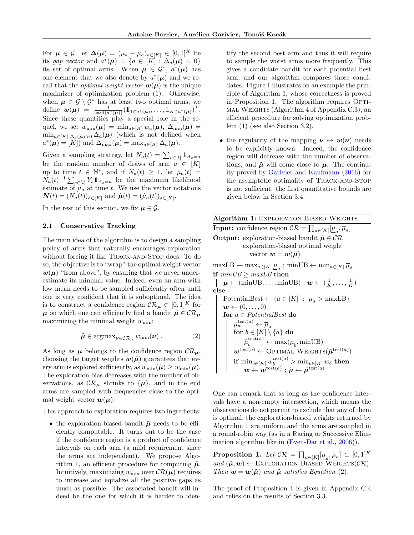For  $\mu \in \mathcal{G}$ , let  $\Delta(\mu) = (\mu_* - \mu_a)_{a \in [K]} \in [0,1]^K$  be its gap vector and  $a^*(\mu) = \{a \in [K] : \Delta_a(\mu) = 0\}$ its set of optimal arms. When  $\mu \in \mathcal{G}^*, a^*(\mu)$  has one element that we also denote by  $a^*(\mu)$  and we recall that the *optimal weight vector*  $w(\mu)$  is the unique maximizer of optimization problem [\(1\)](#page-0-0). Otherwise, when  $\mu \in \mathcal{G} \setminus \mathcal{G}^*$  has at least two optimal arms, we define  $\bm{w}(\bm{\mu}) = \frac{1}{\text{card}(a^*(\bm{\mu}))} (\mathbb{1}_{1 \in a^*(\bm{\mu})}, \dots, \mathbb{1}_{K \in a^*(\bm{\mu})})^T.$ Since these quantities play a special role in the sequel, we set  $w_{\min}(\mu) = \min_{a \in [K]} w_a(\mu)$ ,  $\Delta_{\min}(\mu) =$  $\min_{a\in[K]:\Delta_a(\mu)>0}\Delta_a(\mu)$  (which is not defined when  $a^*(\mu) = [K])$  and  $\Delta_{\max}(\mu) = \max_{a \in [K]} \Delta_a(\mu)$ .

Given a sampling strategy, let  $N_a(t) = \sum_{s \in [t]} 1\!\!1_{A_s=a}$ be the random number of draws of arm  $a \in [K]$ up to time  $t \in \mathbb{N}^*$ , and if  $N_a(t) \geq 1$ , let  $\hat{\mu}_a(t) =$  $N_a(t)^{-1} \sum_{s \in [t]} Y_s \mathbb{1}_{A_s=a}$  be the maximum likelihood estimate of  $\mu_a$  at time t. We use the vector notations  $\mathbf{N}(t) = (N_a(t))_{a \in [K]}$  and  $\hat{\boldsymbol{\mu}}(t) = (\hat{\mu}_a(t))_{a \in [K]}$ .

In the rest of this section, we fix  $\mu \in \mathcal{G}$ .

#### 2.1 Conservative Tracking

The main idea of the algorithm is to design a sampling policy of arms that naturally encourages exploration without forcing it like TRACK-AND-STOP does. To do so, the objective is to "wrap" the optimal weight vector  $w(\mu)$  "from above", by ensuring that we never underestimate its minimal value. Indeed, even an arm with low mean needs to be sampled sufficiently often until one is very confident that it is suboptimal. The idea is to construct a confidence region  $\mathcal{CR}_{\pmb{\mu}}\subset [0,1]^K$  for  $\mu$  on which one can efficiently find a bandit  $\tilde{\mu} \in \mathcal{CR}_{\mu}$ maximizing the minimal weight  $w_{\min}$ :

<span id="page-2-2"></span>
$$
\tilde{\mu} \in \operatorname{argmax}_{\nu \in \mathcal{CR}_{\mu}} w_{\min}(\nu) . \tag{2}
$$

As long as  $\mu$  belongs to the confidence region  $\mathcal{CR}_{\mu}$ , choosing the target weights  $w(\tilde{\mu})$  guarantees that every arm is explored sufficiently, as  $w_{\min}(\tilde{\boldsymbol{\mu}}) \geq w_{\min}(\boldsymbol{\mu}).$ The exploration bias decreases with the number of observations, as  $\mathcal{CR}_{\mu}$  shrinks to  $\{\mu\}$ , and in the end arms are sampled with frequencies close to the optimal weight vector  $w(\mu)$ .

This approach to exploration requires two ingredients:

• the exploration-biased bandit  $\tilde{\mu}$  needs to be efficiently computable. It turns out to be the case if the confidence region is a product of confidence intervals on each arm (a mild requirement since the arms are independent). We propose Algo-rithm [1,](#page-2-0) an efficient procedure for computing  $\tilde{\mu}$ . Intuitively, maximizing  $w_{\min}$  over  $\mathcal{CR}(\mu)$  requires to increase and equalize all the positive gaps as much as possible. The associated bandit will indeed be the one for which it is harder to identify the second best arm and thus it will require to sample the worst arms more frequently. This gives a candidate bandit for each potential best arm, and our algorithm compares those candidates. Figure [1](#page-3-0) illustrates on an example the principle of Algorithm [1,](#page-2-0) whose correctness is proved in Proposition [1.](#page-2-1) The algorithm requires OPTImal Weights (Algorithm [4](#page-14-0) of Appendix [C.3\)](#page-13-0), an efficient procedure for solving optimization problem [\(1\)](#page-0-0) (see also Section [3.2\)](#page-5-0).

• the regularity of the mapping  $\nu \mapsto w(\nu)$  needs to be explicitly known. Indeed, the confidence region will decrease with the number of observations, and  $\tilde{\mu}$  will come close to  $\mu$ . The continuity proved by [Garivier and Kaufmann](#page-9-3) [\(2016\)](#page-9-3) for the asymptotic optimality of TRACK-AND-STOP is not sufficient: the first quantitative bounds are given below in Section [3.4.](#page-6-1)

<span id="page-2-0"></span>

| <b>Algorithm 1: EXPLORATION-BIASED WEIGHTS</b>                                                                                             |
|--------------------------------------------------------------------------------------------------------------------------------------------|
| <b>Input:</b> confidence region $CR = \prod_{a \in [K]} [\mu_a, \overline{\mu}_a]$                                                         |
| <b>Output:</b> exploration-biased bandit $\tilde{\mu} \in \mathcal{CR}$                                                                    |
| exploration-biased optimal weight                                                                                                          |
| vector $w=w(\tilde{\mu})$                                                                                                                  |
| $\text{maxLB} \leftarrow \max_{a \in [K]} \underline{\mu}_a; \text{ minUB} \leftarrow \min_{a \in [K]} \overline{\mu}_a$                   |
| if $minUB \geq maxLB$ then                                                                                                                 |
| $\tilde{\boldsymbol{\mu}} \leftarrow (\text{minUB}, \dots, \text{minUB}) ; \boldsymbol{w} \leftarrow (\frac{1}{K}, \dots, \frac{1}{K})$    |
| else                                                                                                                                       |
| PotentialBest $\leftarrow \{a \in [K] : \overline{\mu}_a > \text{maxLB}\}\$                                                                |
| $w \leftarrow (0, \ldots, 0)$                                                                                                              |
| for $a \in PotentialBest$ do                                                                                                               |
| $\tilde{\mu}_a^{\text{test}(a)} \leftarrow \overline{\mu}_a$                                                                               |
| for $b \in [K] \setminus \{a\}$ do                                                                                                         |
| $\label{eq:optimal} \left  \quad \tilde{\mu}_b^{\text{test}(a)} \leftarrow \max(\underline{\mu}_b, \min \text{UB}) \right.$                |
| $\mathbf{w}^{\text{test}(a)} \leftarrow \text{OPTIMAL WEIGHTS}(\tilde{\mu}^{\text{test}(a)})$                                              |
| if $\min_{b \in [K]} w_b^{test(a)} > \min_{b \in [K]} w_b$ then                                                                            |
| $\boldsymbol{w} \leftarrow \boldsymbol{w}^{\text{test}(a)}: \tilde{\boldsymbol{\mu}} \leftarrow \tilde{\boldsymbol{\mu}}^{\text{test}(a)}$ |

One can remark that as long as the confidence intervals have a non-empty intersection, which means the observations do not permit to exclude that any of them is optimal, the exploration-biased weights returned by Algorithm [1](#page-2-0) are uniform and the arms are sampled in a round-robin way (as in a Racing or Successive Elimination algorithm like in [\(Even-Dar et al.,](#page-9-1) [2006\)](#page-9-1)).

<span id="page-2-1"></span>**Proposition 1.** Let  $\mathcal{CR} = \prod_{a \in [K]} [\underline{\mu}_a, \overline{\mu}_a] \subset [0,1]^K$ and  $(\tilde{\boldsymbol{\mu}}, \boldsymbol{w}) \leftarrow$  EXPLORATION-BIASED WEIGHTS( $\mathcal{CR}$ ). Then  $\mathbf{w} = \mathbf{w}(\tilde{\boldsymbol{\mu}})$  and  $\tilde{\boldsymbol{\mu}}$  satisfies Equation [\(2\)](#page-2-2).

The proof of Proposition [1](#page-2-1) is given in Appendix [C.4](#page-14-1) and relies on the results of Section [3.3.](#page-5-1)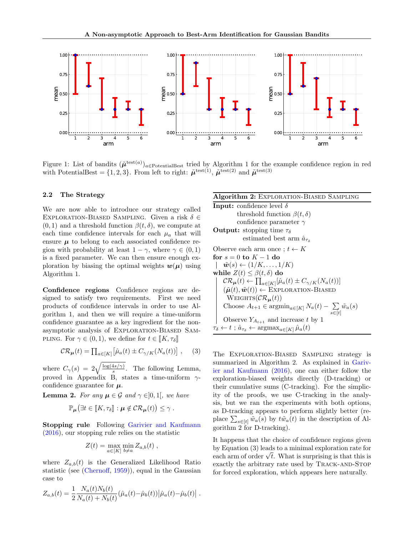<span id="page-3-0"></span>

Figure [1](#page-2-0): List of bandits  $(\tilde{\mu}^{test(a)})_{a \in \text{PotentialBest}}$  tried by Algorithm 1 for the example confidence region in red with PotentialBest =  $\{1,2,3\}$ . From left to right:  $\tilde{\mu}^{\text{test}(1)}$ ,  $\tilde{\mu}^{\text{test}(2)}$  and  $\tilde{\mu}^{\text{test}(3)}$ 

## 2.2 The Strategy

We are now able to introduce our strategy called EXPLORATION-BIASED SAMPLING. Given a risk  $\delta \in$  $(0, 1)$  and a threshold function  $\beta(t, \delta)$ , we compute at each time confidence intervals for each  $\mu_a$  that will ensure  $\mu$  to belong to each associated confidence region with probability at least  $1 - \gamma$ , where  $\gamma \in (0, 1)$ is a fixed parameter. We can then ensure enough exploration by biasing the optimal weights  $w(\mu)$  using Algorithm [1.](#page-2-0)

Confidence regions Confidence regions are designed to satisfy two requirements. First we need products of confidence intervals in order to use Algorithm [1,](#page-2-0) and then we will require a time-uniform confidence guarantee as a key ingredient for the nonasymptotic analysis of Exploration-Biased Sam-PLING. For  $\gamma \in (0,1)$ , we define for  $t \in [[K, \tau_{\delta}]]$ 

<span id="page-3-2"></span>
$$
\mathcal{CR}_{\mu}(t) = \prod_{a \in [K]} \left[ \hat{\mu}_a(t) \pm C_{\gamma/K}(N_a(t)) \right], \quad (3)
$$

where  $C_{\gamma}(s) = 2\sqrt{\frac{\log(4s/\gamma)}{s}}$  $\frac{4s}{s}$ . The following Lemma, proved in Appendix [B,](#page-10-2) states a time-uniform  $\gamma$ confidence guarantee for  $\mu$ .

<span id="page-3-3"></span>**Lemma 2.** For any  $\mu \in \mathcal{G}$  and  $\gamma \in ]0,1]$ , we have

$$
\mathbb{P}_{\boldsymbol{\mu}}(\exists t \in [\![K,\tau_{\delta}]\!]: \boldsymbol{\mu} \notin \mathcal{CR}_{\boldsymbol{\mu}}(t)) \leq \gamma.
$$

Stopping rule Following [Garivier and Kaufmann](#page-9-3) [\(2016\)](#page-9-3), our stopping rule relies on the statistic

$$
Z(t) = \max_{a \in [K]} \min_{b \neq a} Z_{a,b}(t) ,
$$

where  $Z_{a,b}(t)$  is the Generalized Likelihood Ratio statistic (see [\(Chernoff,](#page-8-4) [1959\)](#page-8-4)), equal in the Gaussian case to

$$
Z_{a,b}(t) = \frac{1}{2} \frac{N_a(t)N_b(t)}{N_a(t) + N_b(t)} (\hat{\mu}_a(t) - \hat{\mu}_b(t)) |\hat{\mu}_a(t) - \hat{\mu}_b(t)|.
$$

## Algorithm 2: Exploration-Biased Sampling

<span id="page-3-1"></span>**Input:** confidence level  $\delta$ threshold function  $\beta(t, \delta)$ confidence parameter  $\gamma$ **Output:** stopping time  $\tau_{\delta}$ estimated best arm  $\hat{a}_{\tau s}$ Observe each arm once ;  $t \leftarrow K$ for  $s = 0$  to  $K - 1$  do  $|\tilde{\boldsymbol{w}}(s) \leftarrow (1/K, \ldots, 1/K)$ while  $Z(t) \leq \beta(t, \delta)$  do  $\mathcal{CR}_{\mu}(t) \leftarrow \prod_{a \in [K]} [\hat{\mu}_a(t) \pm C_{\gamma/K}(N_a(t))]$  $(\tilde{\boldsymbol{\mu}}(t), \tilde{\boldsymbol{w}}(t)) \leftarrow \text{EXPLORATION-BIASED}$ WEIGHTS $(\mathcal{CR}_{\mu}(t))$ Choose  $A_{t+1} \in \operatorname{argmin}_{a \in [K]} N_a(t) - \sum$  $\sum_{s\in[t]} \tilde{w}_a(s)$ Observe  $Y_{A_{t+1}}$  and increase t by 1  $\tau_{\delta} \leftarrow t$ ;  $\hat{a}_{\tau_{\delta}} \leftarrow \operatorname{argmax}_{a \in [K]} \hat{\mu}_a(t)$ 

The Exploration-Biased Sampling strategy is summarized in Algorithm [2.](#page-3-1) As explained in [Gariv](#page-9-3)[ier and Kaufmann](#page-9-3) [\(2016\)](#page-9-3), one can either follow the exploration-biased weights directly (D-tracking) or their cumulative sums (C-tracking). For the simplicity of the proofs, we use C-tracking in the analysis, but we ran the experiments with both options, as D-tracking appears to perform slightly better (replace  $\sum_{s\in[t]} \tilde{w}_a(s)$  by  $t\tilde{w}_a(t)$  in the description of Algorithm [2](#page-3-1) for D-tracking).

It happens that the choice of confidence regions given by Equation [\(3\)](#page-3-2) leads to a minimal exploration rate for by Equation (3) leads to a minimal exploration rate for<br>each arm of order  $\sqrt{t}$ . What is surprising is that this is exactly the arbitrary rate used by Track-and-Stop for forced exploration, which appears here naturally.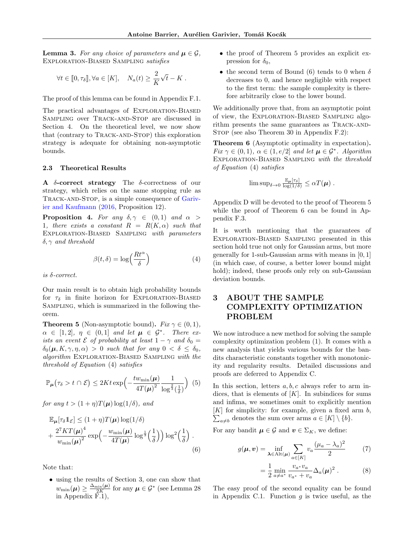<span id="page-4-5"></span>**Lemma 3.** For any choice of parameters and  $\mu \in \mathcal{G}$ , Exploration-Biased Sampling satisfies

$$
\forall t \in [0, \tau_{\delta}], \forall a \in [K], \quad N_a(t) \geq \frac{2}{K} \sqrt{t} - K.
$$

The proof of this lemma can be found in Appendix [F.1.](#page-27-0)

The practical advantages of Exploration-Biased Sampling over Track-and-Stop are discussed in Section [4.](#page-6-0) On the theoretical level, we now show that (contrary to Track-and-Stop) this exploration strategy is adequate for obtaining non-asymptotic bounds.

### 2.3 Theoretical Results

A  $\delta$ -correct strategy The  $\delta$ -correctness of our strategy, which relies on the same stopping rule as TRACK-AND-STOP, is a simple consequence of [Gariv](#page-9-3)[ier and Kaufmann](#page-9-3) [\(2016,](#page-9-3) Proposition 12).

**Proposition 4.** For any  $\delta, \gamma \in (0, 1)$  and  $\alpha >$ 1, there exists a constant  $R = R(K, \alpha)$  such that Exploration-Biased Sampling with parameters  $\delta, \gamma$  and threshold

<span id="page-4-1"></span>
$$
\beta(t,\delta) = \log\left(\frac{Rt^{\alpha}}{\delta}\right) \tag{4}
$$

is δ-correct.

Our main result is to obtain high probability bounds for  $\tau_{\delta}$  in finite horizon for EXPLORATION-BIASED Sampling, which is summarized in the following theorem.

<span id="page-4-2"></span>**Theorem 5** (Non-asymptotic bound). Fix  $\gamma \in (0,1)$ ,  $\alpha \in [1,2], \eta \in (0,1]$  and let  $\mu \in \mathcal{G}^*$ . There exists an event  $\mathcal E$  of probability at least  $1 - \gamma$  and  $\delta_0 =$  $\delta_0(\mu, K, \gamma, \eta, \alpha) > 0$  such that for any  $0 < \delta \leq \delta_0$ , algorithm Exploration-Biased Sampling with the threshold of Equation [\(4\)](#page-4-1) satisfies

<span id="page-4-7"></span>
$$
\mathbb{P}_{\mu}(\tau_{\delta} > t \cap \mathcal{E}) \leq 2Kt \exp\left(-\frac{tw_{\min}(\mu)}{4T(\mu)^{2}} \frac{1}{\log^{\frac{2}{3}}(\frac{1}{\delta})}\right) (5)
$$

for any  $t > (1 + \eta)T(\mu) \log(1/\delta)$ , and

$$
\mathbb{E}_{\mu}[\tau_{\delta}1_{\mathcal{E}}] \leq (1+\eta)T(\mu)\log(1/\delta) \n+ \frac{2^{7}KT(\mu)^{4}}{w_{\min}(\mu)^{2}}\exp\left(-\frac{w_{\min}(\mu)}{4T(\mu)}\log^{\frac{1}{3}}\left(\frac{1}{\delta}\right)\right)\log^{2}\left(\frac{1}{\delta}\right).
$$
\n(6)

Note that:

• using the results of Section [3,](#page-4-0) one can show that  $w_{\min}(\mu) \ge \frac{\Delta_{\min}(\mu)}{2K}$  for any  $\mu \in \mathcal{G}^*$  (see Lemma [28](#page-27-1)) in Appendix [F.1\)](#page-27-0),

- the proof of Theorem [5](#page-4-2) provides an explicit expression for  $\delta_0$ ,
- the second term of Bound [\(6\)](#page-4-3) tends to 0 when  $\delta$ decreases to 0, and hence negligible with respect to the first term: the sample complexity is therefore arbitrarily close to the lower bound.

We additionally prove that, from an asymptotic point of view, the Exploration-Biased Sampling algorithm presents the same guarantees as TRACK-AND-STOP (see also Theorem [30](#page-28-0) in Appendix [F.2\)](#page-28-1):

<span id="page-4-4"></span>Theorem 6 (Asymptotic optimality in expectation). Fix  $\gamma \in (0,1)$ ,  $\alpha \in (1, e/2]$  and let  $\mu \in \mathcal{G}^*$ . Algorithm Exploration-Biased Sampling with the threshold of Equation [\(4\)](#page-4-1) satisfies

$$
\limsup_{\delta \to 0} \frac{\mathbb{E}_{\mu}[\tau_{\delta}]}{\log(1/\delta)} \leq \alpha T(\boldsymbol{\mu}) \ .
$$

Appendix [D](#page-20-0) will be devoted to the proof of Theorem [5](#page-4-2) while the proof of Theorem [6](#page-4-4) can be found in Appendix [F.3.](#page-29-0)

It is worth mentioning that the guarantees of Exploration-Biased Sampling presented in this section hold true not only for Gaussian arms, but more generally for 1-sub-Gaussian arms with means in [0, 1] (in which case, of course, a better lower bound might hold); indeed, these proofs only rely on sub-Gaussian deviation bounds.

# <span id="page-4-0"></span>3 ABOUT THE SAMPLE COMPLEXITY OPTIMIZATION PROBLEM

We now introduce a new method for solving the sample complexity optimization problem [\(1\)](#page-0-0). It comes with a new analysis that yields various bounds for the bandits characteristic constants together with monotonicity and regularity results. Detailed discussions and proofs are deferred to Appendix [C.](#page-11-0)

In this section, letters  $a, b, c$  always refer to arm indices, that is elements of  $[K]$ . In subindices for sums and infima, we sometimes omit to explicitly mention  $\sum_{a \neq b}$  denotes the sum over arms  $a \in [K] \setminus \{b\}.$  $[K]$  for simplicity: for example, given a fixed arm b,

<span id="page-4-3"></span>For any bandit  $\mu \in \mathcal{G}$  and  $v \in \Sigma_K$ , we define:

$$
g(\boldsymbol{\mu}, \boldsymbol{v}) = \inf_{\boldsymbol{\lambda} \in \text{Alt}(\boldsymbol{\mu})} \sum_{a \in [K]} v_a \frac{(\mu_a - \lambda_a)^2}{2} \tag{7}
$$

<span id="page-4-6"></span>
$$
= \frac{1}{2} \min_{a \neq a^*} \frac{v_{a^*} v_a}{v_{a^*} + v_a} \Delta_a(\mu)^2 . \tag{8}
$$

The easy proof of the second equality can be found in Appendix [C.1.](#page-11-1) Function  $g$  is twice useful, as the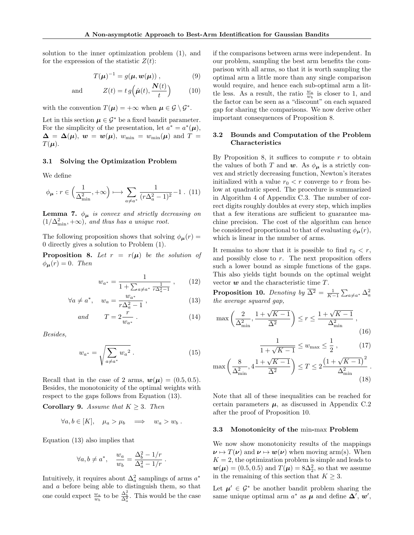solution to the inner optimization problem [\(1\)](#page-0-0), and for the expression of the statistic  $Z(t)$ :

$$
T(\boldsymbol{\mu})^{-1} = g(\boldsymbol{\mu}, \boldsymbol{w}(\boldsymbol{\mu}))\,,\tag{9}
$$

and 
$$
Z(t) = t g\left(\hat{\boldsymbol{\mu}}(t), \frac{\boldsymbol{N}(t)}{t}\right) \qquad (10)
$$

with the convention  $T(\mu) = +\infty$  when  $\mu \in \mathcal{G} \setminus \mathcal{G}^*$ .

Let in this section  $\mu \in \mathcal{G}^*$  be a fixed bandit parameter. For the simplicity of the presentation, let  $a^* = a^*(\mu)$ ,  $\boldsymbol{\Delta} = \boldsymbol{\Delta}(\boldsymbol{\mu}), \ \boldsymbol{w} = \boldsymbol{w}(\boldsymbol{\mu}), \ w_{\min} = w_{\min}(\boldsymbol{\mu}) \ \text{and} \ T =$  $T(\boldsymbol{\mu}).$ 

#### 3.1 Solving the Optimization Problem

We define

$$
\phi_{\mu}: r \in \left(\frac{1}{\Delta_{\min}^2}, +\infty\right) \longmapsto \sum_{a \neq a^*} \frac{1}{(r\Delta_a^2 - 1)^2} - 1 \quad (11)
$$

<span id="page-5-11"></span>**Lemma 7.**  $\phi_{\mu}$  is convex and strictly decreasing on  $(1/\Delta_{\min}^2, +\infty)$ , and thus has a unique root.

The following proposition shows that solving  $\phi_{\mu}(r) =$ 0 directly gives a solution to Problem [\(1\)](#page-0-0).

<span id="page-5-3"></span>**Proposition 8.** Let  $r = r(\mu)$  be the solution of  $\phi_{\mu}(r) = 0$ . Then

$$
w_{a^*} = \frac{1}{1 + \sum_{a \neq a^*} \frac{1}{r \Delta_a^2 - 1}} \,, \qquad (12)
$$

$$
\forall a \neq a^*, \quad w_a = \frac{w_{a^*}}{r\Delta_a^2 - 1}, \tag{13}
$$

$$
and \t T = 2\frac{r}{w_{a^*}}.
$$
\t(14)

Besides,

<span id="page-5-7"></span>
$$
w_{a^*} = \sqrt{\sum_{a \neq a^*} w_a^2} . \tag{15}
$$

Recall that in the case of 2 arms,  $w(\mu) = (0.5, 0.5)$ . Besides, the monotonicity of the optimal weights with respect to the gaps follows from Equation [\(13\)](#page-5-2).

<span id="page-5-8"></span>Corollary 9. Assume that  $K \geq 3$ . Then

$$
\forall a, b \in [K], \quad \mu_a > \mu_b \quad \Longrightarrow \quad w_a > w_b \; .
$$

Equation [\(13\)](#page-5-2) also implies that

$$
\forall a, b \neq a^*, \quad \frac{w_a}{w_b} = \frac{\Delta_b^2 - 1/r}{\Delta_a^2 - 1/r} \; .
$$

Intuitively, it requires about  $\Delta_a^2$  samplings of arms  $a^*$ and a before being able to distinguish them, so that one could expect  $\frac{w_a}{w_b}$  to be  $\frac{\Delta_b^2}{\Delta_a^2}$ . This would be the case

<span id="page-5-13"></span>if the comparisons between arms were independent. In our problem, sampling the best arm benefits the comparison with all arms, so that it is worth sampling the optimal arm a little more than any single comparison would require, and hence each sub-optimal arm a little less. As a result, the ratio  $\frac{w_a}{w_b}$  is closer to 1, and the factor can be seen as a "discount" on each squared gap for sharing the comparisons. We now derive other important consequences of Proposition [8.](#page-5-3)

## <span id="page-5-0"></span>3.2 Bounds and Computation of the Problem Characteristics

By Proposition [8,](#page-5-3) it suffices to compute  $r$  to obtain the values of both T and w. As  $\phi_{\mu}$  is a strictly convex and strictly decreasing function, Newton's iterates initialized with a value  $r_0 < r$  converge to r from below at quadratic speed. The procedure is summarized in Algorithm [4](#page-14-0) of Appendix [C.3.](#page-13-0) The number of correct digits roughly doubles at every step, which implies that a few iterations are sufficient to guarantee machine precision. The cost of the algorithm can hence be considered proportional to that of evaluating  $\phi_{\mu}(r)$ , which is linear in the number of arms.

It remains to show that it is possible to find  $r_0 < r$ , and possibly close to  $r$ . The next proposition offers such a lower bound as simple functions of the gaps. This also yields tight bounds on the optimal weight vector  $w$  and the characteristic time  $T$ .

<span id="page-5-5"></span><span id="page-5-4"></span><span id="page-5-2"></span>**Proposition 10.** Denoting by  $\overline{\Delta^2} = \frac{1}{K-1} \sum_{a \neq a^*} \Delta_a^2$ the average squared gap,

<span id="page-5-6"></span>
$$
\max\left(\frac{2}{\Delta_{\min}^2}, \frac{1+\sqrt{K-1}}{\overline{\Delta^2}}\right) \le r \le \frac{1+\sqrt{K-1}}{\Delta_{\min}^2},\tag{16}
$$

<span id="page-5-12"></span><span id="page-5-10"></span><span id="page-5-9"></span>
$$
\frac{1}{1 + \sqrt{K - 1}} \le w_{\text{max}} \le \frac{1}{2},\tag{17}
$$

$$
\max\left(\frac{8}{\Delta_{\min}^2}, 4\frac{1+\sqrt{K-1}}{\overline{\Delta^2}}\right) \le T \le 2\frac{\left(1+\sqrt{K-1}\right)^2}{\Delta_{\min}^2} \tag{18}
$$

Note that all of these inequalities can be reached for certain parameters  $\mu$ , as discussed in Appendix [C.2](#page-12-0) after the proof of Proposition [10.](#page-5-4)

#### <span id="page-5-1"></span>3.3 Monotonicity of the min-max Problem

We now show monotonicity results of the mappings  $\nu \mapsto T(\nu)$  and  $\nu \mapsto w(\nu)$  when moving arm(s). When  $K = 2$ , the optimization problem is simple and leads to  $w(\mu) = (0.5, 0.5)$  and  $T(\mu) = 8\Delta_2^2$ , so that we assume in the remaining of this section that  $K\geq 3.$ 

Let  $\mu' \in \mathcal{G}^*$  be another bandit problem sharing the same unique optimal arm  $a^*$  as  $\mu$  and define  $\Delta', w',$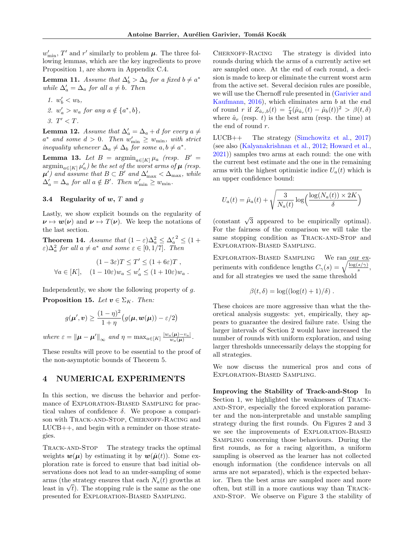$w'_{\min}$ , T' and r' similarly to problem  $\mu$ . The three following lemmas, which are the key ingredients to prove Proposition [1,](#page-2-1) are shown in Appendix [C.4.](#page-14-1)

<span id="page-6-2"></span>**Lemma 11.** Assume that  $\Delta'_b > \Delta_b$  for a fixed  $b \neq a^*$ while  $\Delta'_a = \Delta_a$  for all  $a \neq b$ . Then

- <span id="page-6-5"></span>1.  $w'_b < w_b$ , 2.  $w'_a > w_a$  for any  $a \notin \{a^*, b\},\$
- 3.  $T' < T$ .

<span id="page-6-3"></span>**Lemma 12.** Assume that  $\Delta'_a = \Delta_a + d$  for every a  $\neq$  $a^*$  and some  $d > 0$ . Then  $w'_{\min} \geq w_{\min}$ , with strict inequality whenever  $\Delta_a \neq \Delta_b$  for some  $a, b \neq a^*$ .

<span id="page-6-4"></span>Lemma 13. Let  $B = \operatorname{argmin}_{a \in [K]} \mu_a$  (resp.  $B' =$  $\mathop{\rm argmin}_{a \in [K]} \mu_a'$ ) be the set of the worst arms of  $\boldsymbol{\mu}$  (resp.  $\mu'$ ) and assume that  $B \subset B'$  and  $\Delta'_{\max} < \Delta_{\max}$ , while  $\Delta'_a = \Delta_a$  for all  $a \notin B'$ . Then  $w'_{\min} \geq w_{\min}$ .

#### <span id="page-6-1"></span>3.4 Regularity of  $w, T$  and  $q$

Lastly, we show explicit bounds on the regularity of  $\nu \mapsto w(\nu)$  and  $\nu \mapsto T(\nu)$ . We keep the notations of the last section.

<span id="page-6-6"></span>**Theorem 14.** Assume that  $(1 - \varepsilon)\Delta_a^2 \leq {\Delta_a'}^2 \leq (1 +$  $\varepsilon) \Delta_a^2$  for all  $a \neq a^*$  and some  $\varepsilon \in [0, 1/7]$ . Then

$$
(1 - 3\varepsilon)T \le T' \le (1 + 6\varepsilon)T ,
$$
  

$$
\forall a \in [K], \quad (1 - 10\varepsilon)w_a \le w'_a \le (1 + 10\varepsilon)w_a .
$$

<span id="page-6-7"></span>Independently, we show the following property of  $q$ . **Proposition 15.** Let  $v \in \Sigma_K$ . Then:

$$
g(\boldsymbol{\mu}', \boldsymbol{v}) \ge \frac{(1-\eta)^2}{1+\eta} \big(g(\boldsymbol{\mu}, \boldsymbol{w}(\boldsymbol{\mu})) - \varepsilon/2\big)
$$

where  $\varepsilon = {\|\boldsymbol{\mu} - \boldsymbol{\mu}'\|}_{\infty}$  and  $\eta = \max_{a \in [K]} \frac{|w_a(\boldsymbol{\mu}) - v_a|}{w_a(\boldsymbol{\mu})}$  $\frac{u(\boldsymbol{\mu})-v_a}{w_a(\boldsymbol{\mu})}$  .

These results will prove to be essential to the proof of the non-asymptotic bounds of Theorem [5.](#page-4-2)

# <span id="page-6-0"></span>4 NUMERICAL EXPERIMENTS

In this section, we discuss the behavior and performance of Exploration-Biased Sampling for practical values of confidence  $\delta$ . We propose a comparison with TRACK-AND-STOP, CHERNOFF-RACING and LUCB++, and begin with a reminder on those strategies.

Track-and-Stop The strategy tracks the optimal weights  $w(\mu)$  by estimating it by  $w(\hat{\mu}(t))$ . Some exploration rate is forced to ensure that bad initial observations does not lead to an under-sampling of some arms (the strategy ensures that each  $N_a(t)$  growths at arms (the strategy ensures that each  $N_a(t)$  growths at least in  $\sqrt{t}$ ). The stopping rule is the same as the one presented for Exploration-Biased Sampling.

CHERNOFF-RACING The strategy is divided into rounds during which the arms of a currently active set are sampled once. At the end of each round, a decision is made to keep or eliminate the current worst arm from the active set. Several decision rules are possible, we will use the Chernoff rule presented in [\(Garivier and](#page-9-3) [Kaufmann,](#page-9-3)  $2016$ , which eliminates arm b at the end of round r if  $Z_{\hat{a}_r,b}(t) = \frac{r}{4}(\hat{\mu}_{\hat{a}_r}(t) - \hat{\mu}_b(t))^2 > \beta(t,\delta)$ where  $\hat{a}_r$  (resp. t) is the best arm (resp. the time) at the end of round r.

LUCB++ The strategy [\(Simchowitz et al.,](#page-9-12) [2017\)](#page-9-12) (see also [\(Kalyanakrishnan et al.,](#page-9-2) [2012;](#page-9-2) [Howard et al.,](#page-9-13) [2021\)](#page-9-13)) samples two arms at each round: the one with the current best estimate and the one in the remaining arms with the highest optimistic indice  $U_a(t)$  which is an upper confidence bound:

$$
U_a(t) = \hat{\mu}_a(t) + \sqrt{\frac{3}{N_a(t)} \log\left(\frac{\log(N_a(t)) \times 2K}{\delta}\right)}
$$

(constant  $\sqrt{3}$  appeared to be empirically optimal). For the fairness of the comparison we will take the same stopping condition as TRACK-AND-STOP and Exploration-Biased Sampling.

EXPLORATION-BIASED SAMPLING We ran our experiments with confidence lengths  $C_{\gamma}(s) = \sqrt{\frac{\log(s/\gamma)}{s}}$  $\frac{s(\gamma)}{s},$ and for all strategies we used the same threshold

$$
\beta(t,\delta) = \log((\log(t) + 1)/\delta).
$$

These choices are more aggressive than what the theoretical analysis suggests: yet, empirically, they appears to guarantee the desired failure rate. Using the larger intervals of Section 2 would have increased the number of rounds with uniform exploration, and using larger thresholds unnecessarily delays the stopping for all strategies.

We now discuss the numerical pros and cons of Exploration-Biased Sampling.

Improving the Stability of Track-and-Stop In Section [1,](#page-0-1) we highlighted the weaknesses of TRACK-AND-STOP, especially the forced exploration parameter and the non-interpretable and unstable sampling strategy during the first rounds. On Figures [2](#page-7-0) and [3](#page-7-1) we see the improvements of Exploration-Biased Sampling concerning those behaviours. During the first rounds, as for a racing algorithm, a uniform sampling is observed as the learner has not collected enough information (the confidence intervals on all arms are not separated), which is the expected behavior. Then the best arms are sampled more and more often, but still in a more cautious way than Trackand-Stop. We observe on Figure [3](#page-7-1) the stability of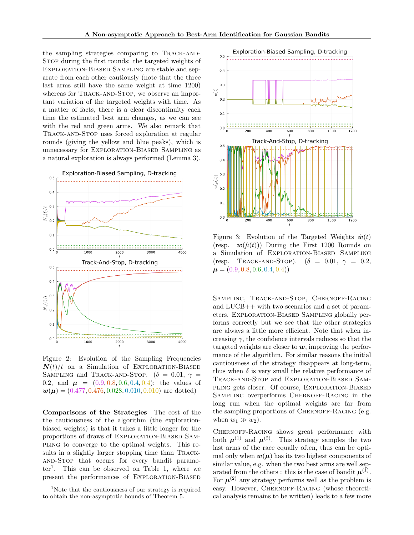the sampling strategies comparing to Track-and-Stop during the first rounds: the targeted weights of Exploration-Biased Sampling are stable and separate from each other cautiously (note that the three last arms still have the same weight at time 1200) whereas for TRACK-AND-STOP, we observe an important variation of the targeted weights with time. As a matter of facts, there is a clear discontinuity each time the estimated best arm changes, as we can see with the red and green arms. We also remark that Track-and-Stop uses forced exploration at regular rounds (giving the yellow and blue peaks), which is unnecessary for Exploration-Biased Sampling as a natural exploration is always performed (Lemma [3\)](#page-4-5).

<span id="page-7-0"></span>

Figure 2: Evolution of the Sampling Frequencies  $N(t)/t$  on a Simulation of EXPLORATION-BIASED SAMPLING and TRACK-AND-STOP. ( $\delta = 0.01$ ,  $\gamma =$ 0.2, and  $\mu = (0.9, 0.8, 0.6, 0.4, 0.4);$  the values of  $\mathbf{w}(\mu) = (0.477, 0.476, 0.028, 0.010, 0.010)$  are dotted)

Comparisons of the Strategies The cost of the the cautiousness of the algorithm (the explorationbiased weights) is that it takes a little longer for the proportions of draws of Exploration-Biased Sampling to converge to the optimal weights. This results in a slightly larger stopping time than Trackand-Stop that occurs for every bandit parameter[1](#page-7-2) . This can be observed on Table [1,](#page-8-5) where we present the performances of Exploration-Biased

<span id="page-7-1"></span>

Figure 3: Evolution of the Targeted Weights  $\tilde{\boldsymbol{w}}(t)$ (resp.  $\mathbf{w}(\hat{\mu}(t))$ ) During the First 1200 Rounds on a Simulation of Exploration-Biased Sampling (resp. TRACK-AND-STOP).  $(\delta = 0.01, \gamma = 0.2,$  $\mu = (0.9, 0.8, 0.6, 0.4, 0.4)$ 

SAMPLING, TRACK-AND-STOP, CHERNOFF-RACING and LUCB++ with two scenarios and a set of parameters. Exploration-Biased Sampling globally performs correctly but we see that the other strategies are always a little more efficient. Note that when increasing  $\gamma$ , the confidence intervals reduces so that the targeted weights are closer to  $w$ , improving the performance of the algorithm. For similar reasons the initial cautiousness of the strategy disappears at long-term, thus when  $\delta$  is very small the relative performance of Track-and-Stop and Exploration-Biased Sampling gets closer. Of course, Exploration-Biased SAMPLING overperforms CHERNOFF-RACING in the long run when the optimal weights are far from the sampling proportions of CHERNOFF-RACING (e.g. when  $w_1 \gg w_2$ ).

CHERNOFF-RACING shows great performance with both  $\mu^{(1)}$  and  $\mu^{(2)}$ . This strategy samples the two last arms of the race equally often, thus can be optimal only when  $w(\mu)$  has its two highest components of similar value, e.g. when the two best arms are well separated from the others : this is the case of bandit  $\mu^{(1)}$ . For  $\mu^{(2)}$  any strategy performs well as the problem is easy. However, CHERNOFF-RACING (whose theoretical analysis remains to be written) leads to a few more

<span id="page-7-2"></span><sup>&</sup>lt;sup>1</sup>Note that the cautiousness of our strategy is required to obtain the non-asymptotic bounds of Theorem [5.](#page-4-2)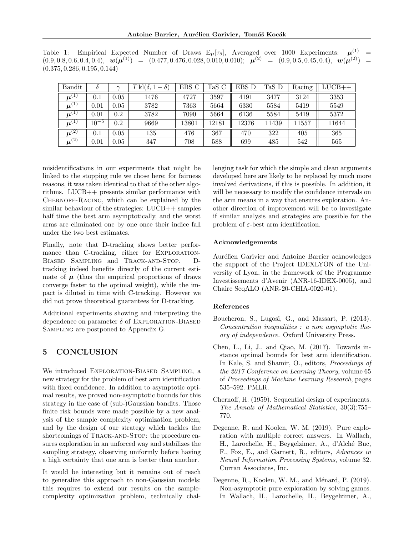<span id="page-8-5"></span>Table 1: Empirical Expected Number of Draws  $\mathbb{E}_{\mu}[\tau_{\delta}]$ , Averaged over 1000 Experiments:  $\mu^{(1)}$  = (0.9, 0.8, 0.6, 0.4, 0.4), w(µ (1)) = (0.477, 0.476, 0.028, 0.010, 0.010); µ (2) = (0.9, 0.5, 0.45, 0.4), w(µ (2)) = (0.375, 0.286, 0.195, 0.144)

| Bandit                   |           |      | $T k l(\delta, 1-\delta)$ | EBS C | TaS C | EBS D | TaS D | Racing | $LUCB++$ |
|--------------------------|-----------|------|---------------------------|-------|-------|-------|-------|--------|----------|
| $\boldsymbol{\mu}^{(1)}$ | 0.1       | 0.05 | 1476                      | 4727  | 3597  | 4191  | 3477  | 3124   | 3353     |
| $\boldsymbol{\mu}^{(1)}$ | 0.01      | 0.05 | 3782                      | 7363  | 5664  | 6330  | 5584  | 5419   | 5549     |
| $\boldsymbol{\mu}^{(1)}$ | 0.01      | 0.2  | 3782                      | 7090  | 5664  | 6136  | 5584  | 5419   | 5372     |
| $\boldsymbol{\mu}^{(1)}$ | $10^{-5}$ | 0.2  | 9669                      | 13801 | 12181 | 12376 | 11439 | 11557  | 11644    |
| $\boldsymbol{\mu}^{(2)}$ | 0.1       | 0.05 | 135                       | 476   | 367   | 470   | 322   | 405    | 365      |
| $\boldsymbol{\mu}^{(2)}$ | 0.01      | 0.05 | 347                       | 708   | 588   | 699   | 485   | 542    | 565      |

misidentifications in our experiments that might be linked to the stopping rule we chose here; for fairness reasons, it was taken identical to that of the other algorithms. LUCB++ presents similar performance with Chernoff-Racing, which can be explained by the similar behaviour of the strategies: LUCB++ samples half time the best arm asymptotically, and the worst arms are eliminated one by one once their indice fall under the two best estimates.

Finally, note that D-tracking shows better performance than C-tracking, either for EXPLORATION-Biased Sampling and Track-and-Stop. Dtracking indeed benefits directly of the current estimate of  $\mu$  (thus the empirical proportions of draws converge faster to the optimal weight), while the impact is diluted in time with C-tracking. However we did not prove theoretical guarantees for D-tracking.

Additional experiments showing and interpreting the dependence on parameter  $\delta$  of EXPLORATION-BIASED Sampling are postponed to Appendix [G.](#page-30-0)

# <span id="page-8-3"></span>5 CONCLUSION

We introduced Exploration-Biased Sampling, a new strategy for the problem of best arm identification with fixed confidence. In addition to asymptotic optimal results, we proved non-asymptotic bounds for this strategy in the case of (sub-)Gaussian bandits. Those finite risk bounds were made possible by a new analysis of the sample complexity optimization problem, and by the design of our strategy which tackles the shortcomings of TRACK-AND-STOP: the procedure ensures exploration in an unforced way and stabilizes the sampling strategy, observing uniformly before having a high certainty that one arm is better than another.

It would be interesting but it remains out of reach to generalize this approach to non-Gaussian models: this requires to extend our results on the samplecomplexity optimization problem, technically challenging task for which the simple and clean arguments developed here are likely to be replaced by much more involved derivations, if this is possible. In addition, it will be necessary to modify the confidence intervals on the arm means in a way that ensures exploration. Another direction of improvement will be to investigate if similar analysis and strategies are possible for the problem of  $\varepsilon$ -best arm identification.

## Acknowledgements

Aurélien Garivier and Antoine Barrier acknowledges the support of the Project IDEXLYON of the University of Lyon, in the framework of the Programme Investissements d'Avenir (ANR-16-IDEX-0005), and Chaire SeqALO (ANR-20-CHIA-0020-01).

## References

- <span id="page-8-6"></span>Boucheron, S., Lugosi, G., and Massart, P. (2013). Concentration inequalities : a non asymptotic theory of independence. Oxford University Press.
- <span id="page-8-2"></span>Chen, L., Li, J., and Qiao, M. (2017). Towards instance optimal bounds for best arm identification. In Kale, S. and Shamir, O., editors, Proceedings of the 2017 Conference on Learning Theory, volume 65 of Proceedings of Machine Learning Research, pages 535–592. PMLR.
- <span id="page-8-4"></span>Chernoff, H. (1959). Sequential design of experiments. The Annals of Mathematical Statistics, 30(3):755– 770.
- <span id="page-8-0"></span>Degenne, R. and Koolen, W. M. (2019). Pure exploration with multiple correct answers. In Wallach, H., Larochelle, H., Beygelzimer, A., d'Alché Buc, F., Fox, E., and Garnett, R., editors, Advances in Neural Information Processing Systems, volume 32. Curran Associates, Inc.
- <span id="page-8-1"></span>Degenne, R., Koolen, W. M., and Ménard, P. (2019). Non-asymptotic pure exploration by solving games. In Wallach, H., Larochelle, H., Beygelzimer, A.,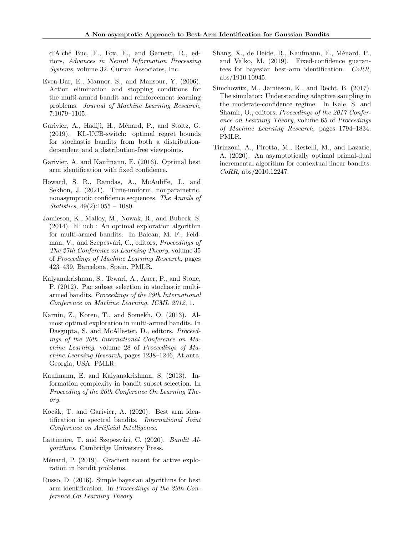d'Alch´e Buc, F., Fox, E., and Garnett, R., editors, Advances in Neural Information Processing Systems, volume 32. Curran Associates, Inc.

- <span id="page-9-1"></span>Even-Dar, E., Mannor, S., and Mansour, Y. (2006). Action elimination and stopping conditions for the multi-armed bandit and reinforcement learning problems. Journal of Machine Learning Research, 7:1079–1105.
- <span id="page-9-14"></span>Garivier, A., Hadiji, H., Ménard, P., and Stoltz, G. (2019). KL-UCB-switch: optimal regret bounds for stochastic bandits from both a distributiondependent and a distribution-free viewpoints.
- <span id="page-9-3"></span>Garivier, A. and Kaufmann, E. (2016). Optimal best arm identification with fixed confidence.
- <span id="page-9-13"></span>Howard, S. R., Ramdas, A., McAuliffe, J., and Sekhon, J. (2021). Time-uniform, nonparametric, nonasymptotic confidence sequences. The Annals of Statistics, 49(2):1055 – 1080.
- <span id="page-9-11"></span>Jamieson, K., Malloy, M., Nowak, R., and Bubeck, S. (2014). lil' ucb : An optimal exploration algorithm for multi-armed bandits. In Balcan, M. F., Feldman, V., and Szepesvári, C., editors, Proceedings of The 27th Conference on Learning Theory, volume 35 of Proceedings of Machine Learning Research, pages 423–439, Barcelona, Spain. PMLR.
- <span id="page-9-2"></span>Kalyanakrishnan, S., Tewari, A., Auer, P., and Stone, P. (2012). Pac subset selection in stochastic multiarmed bandits. Proceedings of the 29th International Conference on Machine Learning, ICML 2012, 1.
- <span id="page-9-10"></span>Karnin, Z., Koren, T., and Somekh, O. (2013). Almost optimal exploration in multi-armed bandits. In Dasgupta, S. and McAllester, D., editors, *Proceed*ings of the 30th International Conference on Machine Learning, volume 28 of Proceedings of Machine Learning Research, pages 1238–1246, Atlanta, Georgia, USA. PMLR.
- <span id="page-9-9"></span>Kaufmann, E. and Kalyanakrishnan, S. (2013). Information complexity in bandit subset selection. In Proceeding of the 26th Conference On Learning Theory.
- <span id="page-9-8"></span>Kocák, T. and Garivier, A. (2020). Best arm identification in spectral bandits. International Joint Conference on Artificial Intelligence.
- <span id="page-9-0"></span>Lattimore, T. and Szepesvári, C. (2020). Bandit Algorithms. Cambridge University Press.
- <span id="page-9-5"></span>Ménard, P. (2019). Gradient ascent for active exploration in bandit problems.
- <span id="page-9-4"></span>Russo, D. (2016). Simple bayesian algorithms for best arm identification. In Proceedings of the 29th Conference On Learning Theory.
- <span id="page-9-7"></span>Shang, X., de Heide, R., Kaufmann, E., Ménard, P., and Valko, M. (2019). Fixed-confidence guarantees for bayesian best-arm identification. CoRR, abs/1910.10945.
- <span id="page-9-12"></span>Simchowitz, M., Jamieson, K., and Recht, B. (2017). The simulator: Understanding adaptive sampling in the moderate-confidence regime. In Kale, S. and Shamir, O., editors, Proceedings of the 2017 Conference on Learning Theory, volume 65 of Proceedings of Machine Learning Research, pages 1794–1834. PMLR.
- <span id="page-9-6"></span>Tirinzoni, A., Pirotta, M., Restelli, M., and Lazaric, A. (2020). An asymptotically optimal primal-dual incremental algorithm for contextual linear bandits. CoRR, abs/2010.12247.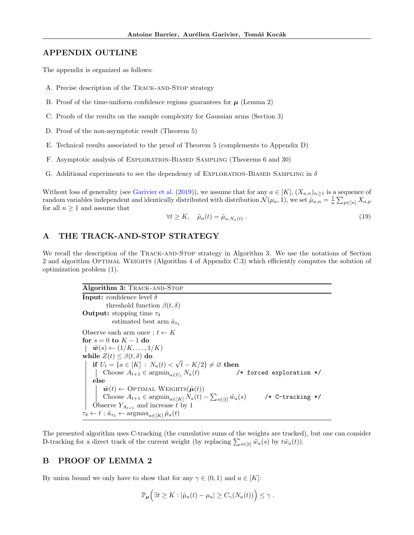# APPENDIX OUTLINE

The appendix is organized as follows:

- A. Precise description of the TRACK-AND-STOP strategy
- B. Proof of the time-uniform confidence regions guarantees for  $\mu$  (Lemma [2\)](#page-3-3)
- C. Proofs of the results on the sample complexity for Gaussian arms (Section [3\)](#page-4-0)
- D. Proof of the non-asymptotic result (Theorem [5\)](#page-4-2)
- E. Technical results associated to the proof of Theorem [5](#page-4-2) (complements to Appendix [D\)](#page-20-0)
- F. Asymptotic analysis of Exploration-Biased Sampling (Theorems [6](#page-4-4) and [30\)](#page-28-0)
- G. Additional experiments to see the dependency of EXPLORATION-BIASED SAMPLING in  $\delta$

Without loss of generality (see [Garivier et al.](#page-9-14) [\(2019\)](#page-9-14)), we assume that for any  $a \in [K]$ ,  $(X_{a,n})_{n>1}$  is a sequence of random variables independent and identically distributed with distribution  $\mathcal{N}(\mu_a, 1)$ , we set  $\hat{\mu}_{a,n} = \frac{1}{n} \sum_{p \in [n]} X_{a,p}$ for all  $n \geq 1$  and assume that

<span id="page-10-3"></span>
$$
\forall t \ge K, \quad \hat{\mu}_a(t) = \hat{\mu}_{a, N_a(t)} \,. \tag{19}
$$

# <span id="page-10-0"></span>A THE TRACK-AND-STOP STRATEGY

We recall the description of the TRACK-AND-STOP strategy in Algorithm [3.](#page-10-1) We use the notations of Section [2](#page-1-0) and algorithm OPTIMAL WEIGHTS (Algorithm [4](#page-14-0) of Appendix [C.3\)](#page-13-0) which efficiently computes the solution of optimization problem [\(1\)](#page-0-0).

> <span id="page-10-1"></span>Algorithm 3: TRACK-AND-STOP **Input:** confidence level  $\delta$ threshold function  $\beta(t, \delta)$ **Output:** stopping time  $\tau_{\delta}$ estimated best arm  $\hat{a}_{\tau s}$ Observe each arm once ;  $t \leftarrow K$ for  $s = 0$  to  $K - 1$  do  $\mathbf{\tilde{w}}(s) \leftarrow (1/K, \ldots, 1/K)$ while  $Z(t) \leq \beta(t, \delta)$  do if  $U_t = \{a \in [K] : N_a(t) <$  $\sqrt{t} - K/2$ }  $\neq \varnothing$  then Choose  $A_{t+1} \in \operatorname{argmin}_{a \in U_t} N_a(t)$  /\* forced exploration \*/ else  $\tilde{\boldsymbol{w}}(t) \leftarrow$  Optimal Weights $(\hat{\boldsymbol{\mu}}(t))$ Choose  $A_{t+1} \in \operatorname{argmin}_{a \in [K]} N_a(t) - \sum_{s \in [t]} \tilde{w}_a(s)$  /\* C-tracking \*/ Observe  $Y_{A_{t+1}}$  and increase t by 1  $\tau_{\delta} \leftarrow t$ ;  $\hat{a}_{\tau_{\delta}} \leftarrow \operatorname{argmax}_{a \in [K]} \hat{\mu}_a(t)$

The presented algorithm uses C-tracking (the cumulative sums of the weights are tracked), but one can consider D-tracking for a direct track of the current weight (by replacing  $\sum_{s\in[t]} \tilde{w}_a(s)$  by  $t\tilde{w}_a(t)$ ).

# <span id="page-10-2"></span>B PROOF OF LEMMA [2](#page-3-3)

By union bound we only have to show that for any  $\gamma \in (0,1)$  and  $a \in [K]$ :

$$
\mathbb{P}_{\mu}\Big(\exists t\geq K:|\hat{\mu}_a(t)-\mu_a|\geq C_{\gamma}(N_a(t))\Big)\leq\gamma.
$$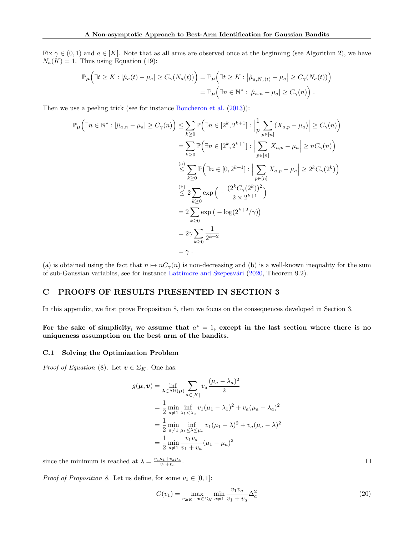Fix  $\gamma \in (0,1)$  and  $a \in [K]$ . Note that as all arms are observed once at the beginning (see Algorithm [2\)](#page-3-1), we have  $N_a(K) = 1$ . Thus using Equation [\(19\)](#page-10-3):

$$
\mathbb{P}_{\mu}\Big(\exists t \geq K : |\hat{\mu}_a(t) - \mu_a| \geq C_{\gamma}(N_a(t))\Big) = \mathbb{P}_{\mu}\Big(\exists t \geq K : |\hat{\mu}_{a,N_a(t)} - \mu_a| \geq C_{\gamma}(N_a(t))\Big) \n= \mathbb{P}_{\mu}\Big(\exists n \in \mathbb{N}^* : |\hat{\mu}_{a,n} - \mu_a| \geq C_{\gamma}(n)\Big) .
$$

Then we use a peeling trick (see for instance [Boucheron et al.](#page-8-6) [\(2013\)](#page-8-6)):

$$
\mathbb{P}_{\mu}\left(\exists n \in \mathbb{N}^* : |\hat{\mu}_{a,n} - \mu_a| \ge C_{\gamma}(n)\right) \le \sum_{k\ge 0} \mathbb{P}\left(\exists n \in [2^k, 2^{k+1}] : \left|\frac{1}{p} \sum_{p \in [n]} (X_{a,p} - \mu_a)\right| \ge C_{\gamma}(n)\right)
$$
  
\n
$$
= \sum_{k\ge 0} \mathbb{P}\left(\exists n \in [2^k, 2^{k+1}] : \left|\sum_{p \in [n]} X_{a,p} - \mu_a\right| \ge nC_{\gamma}(n)\right)
$$
  
\n
$$
\stackrel{\text{(a)}}{\le} \sum_{k\ge 0} \mathbb{P}\left(\exists n \in [0, 2^{k+1}] : \left|\sum_{p \in [n]} X_{a,p} - \mu_a\right| \ge 2^k C_{\gamma}(2^k)\right)
$$
  
\n
$$
\stackrel{\text{(b)}}{\le} 2 \sum_{k\ge 0} \exp\left(-\frac{(2^k C_{\gamma}(2^k))^2}{2 \times 2^{k+1}}\right)
$$
  
\n
$$
= 2 \sum_{k\ge 0} \exp\left(-\log(2^{k+2}/\gamma)\right)
$$
  
\n
$$
= 2\gamma \sum_{k\ge 0} \frac{1}{2^{k+2}}
$$
  
\n
$$
= \gamma.
$$

(a) is obtained using the fact that  $n \mapsto nC_{\gamma}(n)$  is non-decreasing and (b) is a well-known inequality for the sum of sub-Gaussian variables, see for instance Lattimore and Szepesvári [\(2020,](#page-9-0) Theorem 9.2).

# <span id="page-11-0"></span>C PROOFS OF RESULTS PRESENTED IN SECTION [3](#page-4-0)

In this appendix, we first prove Proposition [8,](#page-5-3) then we focus on the consequences developed in Section [3.](#page-4-0)

For the sake of simplicity, we assume that  $a^* = 1$ , except in the last section where there is no uniqueness assumption on the best arm of the bandits.

#### <span id="page-11-1"></span>C.1 Solving the Optimization Problem

*Proof of Equation* [\(8\)](#page-4-6). Let  $\mathbf{v} \in \Sigma_K$ . One has:

$$
g(\mu, v) = \inf_{\lambda \in \text{Alt}(\mu)} \sum_{a \in [K]} v_a \frac{(\mu_a - \lambda_a)^2}{2}
$$
  
=  $\frac{1}{2} \min_{a \neq 1} \inf_{\lambda_1 < \lambda_a} v_1 (\mu_1 - \lambda_1)^2 + v_a (\mu_a - \lambda_a)^2$   
=  $\frac{1}{2} \min_{a \neq 1} \inf_{\mu_1 \leq \lambda \leq \mu_a} v_1 (\mu_1 - \lambda)^2 + v_a (\mu_a - \lambda)^2$   
=  $\frac{1}{2} \min_{a \neq 1} \frac{v_1 v_a}{v_1 + v_a} (\mu_1 - \mu_a)^2$ 

since the minimum is reached at  $\lambda = \frac{v_1 \mu_1 + v_a \mu_a}{v_1 + v_a}$ .

*Proof of Proposition [8.](#page-5-3)* Let us define, for some  $v_1 \in [0, 1]$ :

<span id="page-11-2"></span>
$$
C(v_1) = \max_{v_{2:K}} \min_{\mathbf{v} \in \Sigma_K} \frac{v_1 v_a}{v_1 + v_a} \Delta_a^2
$$
\n(20)

 $\Box$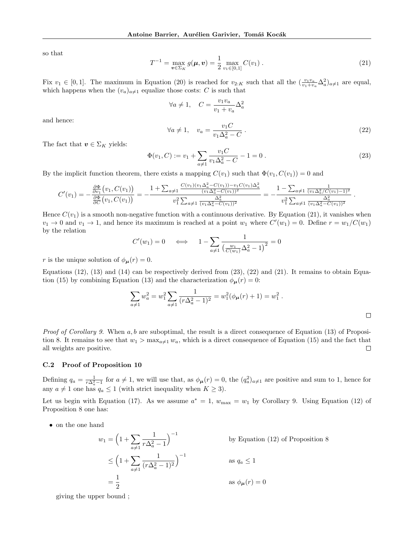so that

<span id="page-12-1"></span>
$$
T^{-1} = \max_{\boldsymbol{v} \in \Sigma_K} g(\boldsymbol{\mu}, \boldsymbol{v}) = \frac{1}{2} \max_{v_1 \in [0, 1]} C(v_1) .
$$
 (21)

Fix  $v_1 \in [0,1]$ . The maximum in Equation [\(20\)](#page-11-2) is reached for  $v_{2:K}$  such that all the  $(\frac{v_1v_a}{v_1+v_a}\Delta_a^2)_{a\neq1}$  are equal, which happens when the  $(v_a)_{a\neq 1}$  equalize those costs: C is such that

$$
\forall a \neq 1, \quad C = \frac{v_1 v_a}{v_1 + v_a} \Delta_a^2
$$

and hence:

<span id="page-12-3"></span>
$$
\forall a \neq 1, \quad v_a = \frac{v_1 C}{v_1 \Delta_a^2 - C} \tag{22}
$$

.

The fact that  $\mathbf{v} \in \Sigma_K$  yields:

<span id="page-12-2"></span>
$$
\Phi(v_1, C) := v_1 + \sum_{a \neq 1} \frac{v_1 C}{v_1 \Delta_a^2 - C} - 1 = 0.
$$
\n(23)

By the implicit function theorem, there exists a mapping  $C(v_1)$  such that  $\Phi(v_1, C(v_1)) = 0$  and

$$
C'(v_1) = -\frac{\frac{\partial \Phi}{\partial v_1}(v_1, C(v_1))}{\frac{\partial \Phi}{\partial C}(v_1, C(v_1))} = -\frac{1 + \sum_{a \neq 1} \frac{C(v_1)(v_1 \Delta_a^2 - C(v_1)) - v_1 C(v_1 \Delta_a^2}{(v_1 \Delta_a^2 - C(v_1))^2}}{v_1^2 \sum_{a \neq 1} \frac{\Delta_a^2}{(v_1 \Delta_a^2 - C(v_1))^2}} = -\frac{1 - \sum_{a \neq 1} \frac{1}{(v_1 \Delta_a^2 / C(v_1) - 1)^2}}{v_1^2 \sum_{a \neq 1} \frac{\Delta_a^2}{(v_1 \Delta_a^2 - C(v_1))^2}}
$$

Hence  $C(v_1)$  is a smooth non-negative function with a continuous derivative. By Equation [\(21\)](#page-12-1), it vanishes when  $v_1 \to 0$  and  $v_1 \to 1$ , and hence its maximum is reached at a point  $w_1$  where  $C'(w_1) = 0$ . Define  $r = w_1/C(w_1)$ by the relation

$$
C'(w_1) = 0 \quad \iff \quad 1 - \sum_{a \neq 1} \frac{1}{\left(\frac{w_1}{C(w_1)}\Delta_a^2 - 1\right)^2} = 0
$$

r is the unique solution of  $\phi_{\mu}(r) = 0$ .

Equations [\(12\)](#page-5-5), [\(13\)](#page-5-2) and [\(14\)](#page-5-6) can be respectively derived from  $(23)$ ,  $(22)$  and  $(21)$ . It remains to obtain Equa-tion [\(15\)](#page-5-7) by combining Equation [\(13\)](#page-5-2) and the characterization  $\phi_{\mu}(r) = 0$ :

$$
\sum_{a \neq 1} w_a^2 = w_1^2 \sum_{a \neq 1} \frac{1}{(r\Delta_a^2 - 1)^2} = w_1^2 (\phi_{\mu}(r) + 1) = w_1^2.
$$

*Proof of Corollary [9.](#page-5-8)* When  $a, b$  are suboptimal, the result is a direct consequence of Equation [\(13\)](#page-5-2) of Proposi-tion [8.](#page-5-3) It remains to see that  $w_1 > \max_{a \neq 1} w_a$ , which is a direct consequence of Equation [\(15\)](#page-5-7) and the fact that all weights are positive.  $\Box$ 

#### <span id="page-12-0"></span>C.2 Proof of Proposition [10](#page-5-4)

Defining  $q_a = \frac{1}{r\Delta_a^2 - 1}$  for  $a \neq 1$ , we will use that, as  $\phi_{\mu}(r) = 0$ , the  $(q_a^2)_{a \neq 1}$  are positive and sum to 1, hence for any  $a \neq 1$  one has  $q_a \leq 1$  (with strict inequality when  $K \geq 3$ ).

Let us begin with Equation [\(17\)](#page-5-9). As we assume  $a^* = 1$ ,  $w_{\text{max}} = w_1$  by Corollary [9.](#page-5-8) Using Equation [\(12\)](#page-5-5) of Proposition [8](#page-5-3) one has:

• on the one hand

$$
w_1 = \left(1 + \sum_{a \neq 1} \frac{1}{r\Delta_a^2 - 1}\right)^{-1}
$$
 by Equation (12) of Proposition 8  

$$
\leq \left(1 + \sum_{a \neq 1} \frac{1}{(r\Delta_a^2 - 1)^2}\right)^{-1}
$$
 as  $q_a \leq 1$   

$$
= \frac{1}{2}
$$
 as  $\phi_{\mu}(r) = 0$ 

giving the upper bound ;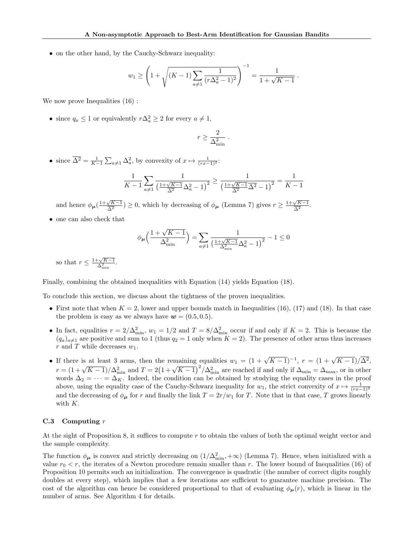• on the other hand, by the Cauchy-Schwarz inequality:

$$
w_1 \ge \left(1 + \sqrt{(K-1)\sum_{a \ne 1} \frac{1}{(r\Delta_a^2 - 1)^2}}\right)^{-1} = \frac{1}{1 + \sqrt{K-1}}.
$$

We now prove Inequalities  $(16)$ :

• since  $q_a \leq 1$  or equivalently  $r\Delta_a^2 \geq 2$  for every  $a \neq 1$ ,

$$
r \geq \frac{2}{\Delta_{\min}^2} \; .
$$

• since  $\overline{\Delta^2} = \frac{1}{K-1} \sum_{a \neq 1} \Delta_a^2$ , by convexity of  $x \mapsto \frac{1}{(rx-1)^2}$ :

$$
\frac{1}{K-1} \sum_{a \neq 1} \frac{1}{\left(\frac{1+\sqrt{K-1}}{\overline{\Delta^2}} \Delta_a^2 - 1\right)^2} \ge \frac{1}{\left(\frac{1+\sqrt{K-1}}{\overline{\Delta^2}} \overline{\Delta^2} - 1\right)^2} = \frac{1}{K-1}
$$

and hence  $\phi_{\mu}(\frac{1+\sqrt{K-1}}{\overline{\Delta^2}})$  $\frac{\sqrt{K-1}}{\Delta^2}$ ) ≥ 0, which by decreasing of  $\phi_{\mu}$  (Lemma [7\)](#page-5-11) gives  $r \geq \frac{1+\sqrt{K-1}}{\Delta^2}$  $\frac{\sqrt{K-1}}{\Delta^2}$ .

• one can also check that

$$
\phi_{\pmb{\mu}}\Big(\frac{1+\sqrt{K-1}}{\Delta_{\min}^2}\Big)=\sum_{a\neq 1}\frac{1}{\Big(\frac{1+\sqrt{K-1}}{\Delta_{\min}^2}\Delta_a^2-1\Big)^2}-1\leq 0
$$

so that  $r \leq \frac{1+\sqrt{K-1}}{\Delta_{\min}^2}$ .

Finally, combining the obtained inequalities with Equation [\(14\)](#page-5-6) yields Equation [\(18\)](#page-5-12).

To conclude this section, we discuss about the tightness of the proven inequalities.

- First note that when  $K = 2$ , lower and upper bounds match in Inequalities [\(16\)](#page-5-10), [\(17\)](#page-5-9) and [\(18\)](#page-5-12). In that case the problem is easy as we always have  $w = (0.5, 0.5)$ .
- In fact, equalities  $r = 2/\Delta_{\min}^2$ ,  $w_1 = 1/2$  and  $T = 8/\Delta_{\min}^2$  occur if and only if  $K = 2$ . This is because the  $(q_a)_{a\neq1}$  are positive and sum to 1 (thus  $q_2 = 1$  only when  $K = 2$ ). The presence of other arms thus increases r and T while decreases  $w_1$ .
- If there is at least 3 arms, then the remaining equalities  $w_1 = (1 + \sqrt{K-1})^{-1}$ ,  $r = (1 + \sqrt{K-1})/\overline{\Delta^2}$ , r =  $(1 + \sqrt{K-1})/\Delta_{\min}^2$  and  $T = 2(1 + \sqrt{K-1})^2/\Delta_{\min}^2$  are reached if and only if  $\Delta_{\min} = \Delta_{\max}$ , or in other words  $\Delta_2 = \cdots = \Delta_K$ . Indeed, the condition can be obtained by studying the equality cases in the proof above, using the equality case of the Cauchy-Schwarz inequality for  $w_1$ , the strict convexity of  $x \mapsto \frac{1}{(rx-1)^2}$ and the decreasing of  $\phi_{\mu}$  for r and finally the link  $T = 2r/w_1$  for T. Note that in that case, T grows linearly with  $K$ .

## <span id="page-13-0"></span> $C.3$  Computing  $r$

At the sight of Proposition [8,](#page-5-3) it suffices to compute r to obtain the values of both the optimal weight vector and the sample complexity.

The function  $\phi_{\mu}$  is convex and strictly decreasing on  $(1/\Delta_{\min}^2, +\infty)$  (Lemma [7\)](#page-5-11). Hence, when initialized with a value  $r_0 < r$ , the iterates of a Newton procedure remain smaller than r. The lower bound of Inequalities [\(16\)](#page-5-10) of Proposition [10](#page-5-4) permits such an initialization. The convergence is quadratic (the number of correct digits roughly doubles at every step), which implies that a few iterations are sufficient to guarantee machine precision. The cost of the algorithm can hence be considered proportional to that of evaluating  $\phi_{\mu}(r)$ , which is linear in the number of arms. See Algorithm [4](#page-14-0) for details.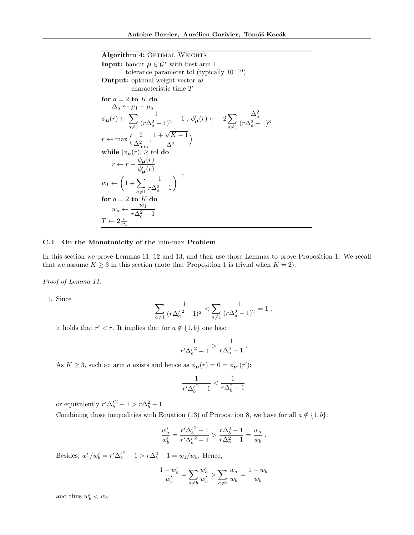<span id="page-14-0"></span>Algorithm 4: OPTIMAL WEIGHTS **Input:** bandit  $\mu \in \mathcal{G}^*$  with best arm 1 tolerance parameter tol (typically  $10^{-10}$ ) **Output:** optimal weight vector  $w$ characteristic time T for  $a = 2$  to  $K$  do  $\Delta_a \leftarrow \mu_1 - \mu_a$  $\phi_{\bm{\mu}}(r) \leftarrow \sum$  $a \neq 1$ 1  $\frac{1}{(r\Delta_a^2-1)^2} - 1$ ;  $\phi'_{\mu}(r) \leftarrow -2\sum_{q\neq 1}$  $a \neq 1$  $\Delta_a^2$  $(r\Delta_a^2 - 1)^3$  $r \leftarrow \max\left(\frac{2}{\Delta_{\min}^2}, \frac{1+\sqrt{K-1}}{\Delta^2}\right)$ while  $|\phi_{\bm{\mu}}(r)| \geq \text{tol do}$  $\Delta^2$  $\setminus$  $r \leftarrow r - \frac{\phi_{\mu}(r)}{\mu(r)}$  $\phi'_{\boldsymbol{\mu}}(r)$  $w_1 \leftarrow \left(1 + \sum_{i=1}^{n} \right)$  $a \neq 1$ 1  $r\Delta_a^2-1$  $\setminus$ <sup>-1</sup> for  $a = 2$  to  $K$  do  $w_a \leftarrow \frac{w_1}{\sqrt{2}}$  $r\Delta_a^2-1$  $\dot{T} \leftarrow 2 \frac{r}{w_1}$ 

#### <span id="page-14-1"></span>C.4 On the Monotonicity of the min-max Problem

In this section we prove Lemmas [11,](#page-6-2) [12](#page-6-3) and [13,](#page-6-4) and then use those Lemmas to prove Proposition [1.](#page-2-1) We recall that we assume  $K \geq 3$  in this section (note that Proposition [1](#page-2-1) is trivial when  $K = 2$ ).

Proof of Lemma [11.](#page-6-2)

1. Since

$$
\sum_{a\neq 1}\frac{1}{(r{\Delta'_a}^2-1)^2}<\sum_{a\neq 1}\frac{1}{(r{\Delta^2_a}-1)^2}=1\;,
$$

it holds that  $r' < r$ . It implies that for  $a \notin \{1, b\}$  one has:

$$
\frac{1}{r'\Delta_a'^2 - 1} > \frac{1}{r\Delta_a^2 - 1} \; .
$$

As  $K \geq 3$ , such an arm a exists and hence as  $\phi_{\mu}(r) = 0 = \phi_{\mu'}(r')$ :

$$
\frac{1}{r'\Delta_b^{\prime\,2}-1}<\frac{1}{r\Delta_b^2-1}
$$

or equivalently  $r' \Delta_b^2 - 1 > r \Delta_b^2 - 1$ .

Combining those inequalities with Equation [\(13\)](#page-5-2) of Proposition [8,](#page-5-3) we have for all  $a \notin \{1, b\}$ :

$$
\frac{w'_a}{w'_b} = \frac{r'\Delta_b^{\prime 2} - 1}{r'\Delta_a^{\prime 2} - 1} > \frac{r\Delta_b^2 - 1}{r\Delta_a^2 - 1} = \frac{w_a}{w_b}.
$$

Besides,  $w_1'/w_b' = r' \Delta_b'^2 - 1 > r \Delta_b^2 - 1 = w_1/w_b$ . Hence,

$$
\frac{1 - w'_b}{w'_b} = \sum_{a \neq b} \frac{w'_a}{w'_b} > \sum_{a \neq b} \frac{w_a}{w_b} = \frac{1 - w_b}{w_b}
$$

and thus  $w'_b < w_b$ .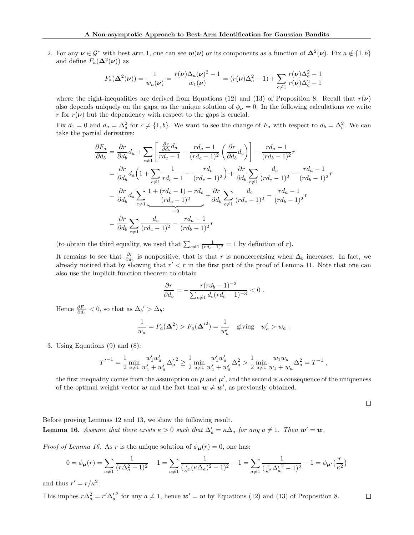2. For any  $\nu \in \mathcal{G}^*$  with best arm 1, one can see  $w(\nu)$  or its components as a function of  $\Delta^2(\nu)$ . Fix  $a \notin \{1, b\}$ and define  $F_a(\mathbf{\Delta}^2(\boldsymbol{\nu}))$  as

$$
F_a(\Delta^2(\nu)) = \frac{1}{w_a(\nu)} = \frac{r(\nu)\Delta_a(\nu)^2 - 1}{w_1(\nu)} = (r(\nu)\Delta_a^2 - 1) + \sum_{c \neq 1} \frac{r(\nu)\Delta_a^2 - 1}{r(\nu)\Delta_c^2 - 1}
$$

where the right-inequalities are derived from Equations [\(12\)](#page-5-5) and [\(13\)](#page-5-2) of Proposition [8.](#page-5-3) Recall that  $r(\nu)$ also depends uniquely on the gaps, as the unique solution of  $\phi_{\nu} = 0$ . In the following calculations we write r for  $r(\nu)$  but the dependency with respect to the gaps is crucial.

Fix  $d_1 = 0$  and  $d_a = \Delta_a^2$  for  $c \neq \{1, b\}$ . We want to see the change of  $F_a$  with respect to  $d_b = \Delta_b^2$ . We can take the partial derivative:

$$
\frac{\partial F_a}{\partial d_b} = \frac{\partial r}{\partial d_b} d_a + \sum_{c \neq 1} \left[ \frac{\frac{\partial r}{\partial d_b} d_a}{r d_c - 1} - \frac{r d_a - 1}{(r d_c - 1)^2} \left( \frac{\partial r}{\partial d_b} d_c \right) \right] - \frac{r d_a - 1}{(r d_b - 1)^2} r
$$
\n
$$
= \frac{\partial r}{\partial d_b} d_a \left( 1 + \sum_{c \neq 1} \frac{1}{r d_c - 1} - \frac{r d_c}{(r d_c - 1)^2} \right) + \frac{\partial r}{\partial d_b} \sum_{c \neq 1} \frac{d_c}{(r d_c - 1)^2} - \frac{r d_a - 1}{(r d_b - 1)^2} r
$$
\n
$$
= \frac{\partial r}{\partial d_b} d_a \sum_{c \neq 1} \frac{1 + (r d_c - 1) - r d_c}{(r d_c - 1)^2} + \frac{\partial r}{\partial d_b} \sum_{c \neq 1} \frac{d_c}{(r d_c - 1)^2} - \frac{r d_a - 1}{(r d_b - 1)^2} r
$$
\n
$$
= \frac{\partial r}{\partial d_b} \sum_{c \neq 1} \frac{d_c}{(r d_c - 1)^2} - \frac{r d_a - 1}{(r d_b - 1)^2} r
$$

(to obtain the third equality, we used that  $\sum_{c\neq 1} \frac{1}{(rd_c-1)^2} = 1$  by definition of r).

It remains to see that  $\frac{\partial r}{\partial d_b}$  is nonpositive, that is that r is nondecreasing when  $\Delta_b$  increases. In fact, we already noticed that by showing that  $r' < r$  in the first part of the proof of Lemma [11.](#page-6-2) Note that one can also use the implicit function theorem to obtain

$$
\frac{\partial r}{\partial d_b} = -\frac{r (r d_b - 1)^{-3}}{\sum_{c \neq 1} d_c (r d_c - 1)^{-3}} < 0 \; .
$$

Hence  $\frac{\partial F_a}{\partial d_b} < 0$ , so that as  $\Delta_b' > \Delta_b$ :

$$
\frac{1}{w_a} = F_a(\Delta^2) > F_a(\Delta^2) = \frac{1}{w'_a} \quad \text{giving} \quad w'_a > w_a \; .
$$

## 3. Using Equations [\(9\)](#page-5-13) and [\(8\)](#page-4-6):

$$
{T'}^{-1} = \frac{1}{2}\min_{a\neq 1}\frac{w'_1w'_a}{w'_1+w'_a}\Delta_a^{\prime\;2} \geq \frac{1}{2}\min_{a\neq 1}\frac{w'_1w'_a}{w'_1+w'_a}\Delta_a^2 > \frac{1}{2}\min_{a\neq 1}\frac{w_1w_a}{w_1+w_a}\Delta_a^2 = T^{-1}\;,
$$

the first inequality comes from the assumption on  $\mu$  and  $\mu'$ , and the second is a consequence of the uniqueness of the optimal weight vector  $w$  and the fact that  $w \neq w'$ , as previously obtained.

 $\Box$ 

<span id="page-15-0"></span>Before proving Lemmas [12](#page-6-3) and [13,](#page-6-4) we show the following result. **Lemma 16.** Assume that there exists  $\kappa > 0$  such that  $\Delta'_{a} = \kappa \Delta_{a}$  for any  $a \neq 1$ . Then  $w' = w$ .

*Proof of Lemma [16.](#page-15-0)* As r is the unique solution of  $\phi_{\mu}(r) = 0$ , one has:

$$
0 = \phi_{\mu}(r) = \sum_{a \neq 1} \frac{1}{(r\Delta_a^2 - 1)^2} - 1 = \sum_{a \neq 1} \frac{1}{(\frac{r}{\kappa^2}(\kappa \Delta_a)^2 - 1)^2} - 1 = \sum_{a \neq 1} \frac{1}{(\frac{r}{\kappa^2} \Delta_a'^2 - 1)^2} - 1 = \phi_{\mu'}(\frac{r}{\kappa^2})
$$

and thus  $r' = r/\kappa^2$ .

This implies  $r\Delta_a^2 = r'\Delta_a'^2$  for any  $a \neq 1$ , hence  $\mathbf{w}' = \mathbf{w}$  by Equations [\(12\)](#page-5-5) and [\(13\)](#page-5-2) of Proposition [8.](#page-5-3)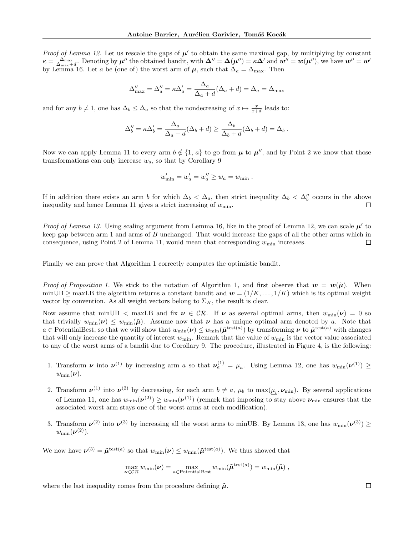*Proof of Lemma [12.](#page-6-3)* Let us rescale the gaps of  $\mu'$  to obtain the same maximal gap, by multiplying by constant  $\kappa = \frac{\Delta_{\max}}{\Delta_{\max}+d}$ . Denoting by  $\mu''$  the obtained bandit, with  $\Delta'' = \Delta(\mu'') = \kappa \Delta'$  and  $w'' = w(\mu'')$ , we have  $w'' = w'$ by Lemma [16.](#page-15-0) Let a be (one of) the worst arm of  $\mu$ , such that  $\Delta_a = \Delta_{\text{max}}$ . Then

$$
\Delta''_{\max} = \Delta''_a = \kappa \Delta'_a = \frac{\Delta_a}{\Delta_a + d} (\Delta_a + d) = \Delta_a = \Delta_{\max}
$$

and for any  $b \neq 1$ , one has  $\Delta_b \leq \Delta_a$  so that the nondecreasing of  $x \mapsto \frac{x}{x+d}$  leads to:

$$
\Delta_b'' = \kappa \Delta_b' = \frac{\Delta_a}{\Delta_a + d} (\Delta_b + d) \ge \frac{\Delta_b}{\Delta_b + d} (\Delta_b + d) = \Delta_b.
$$

Now we can apply Lemma [11](#page-6-2) to every arm  $b \notin \{1, a\}$  to go from  $\mu$  to  $\mu''$ , and by Point [2](#page-6-5) we know that those transformations can only increase  $w_a$ , so that by Corollary [9](#page-5-8)

$$
w'_{\min} = w'_a = w''_a \ge w_a = w_{\min}.
$$

If in addition there exists an arm b for which  $\Delta_b < \Delta_a$ , then strict inequality  $\Delta_b < \Delta_b''$  occurs in the above inequality and hence Lemma [11](#page-6-2) gives a strict increasing of  $w_{\text{min}}$ .  $\Box$ 

*Proof of Lemma [13.](#page-6-4)* Using scaling argument from Lemma [16,](#page-15-0) like in the proof of Lemma [12,](#page-6-3) we can scale  $\mu'$  to keep gap between arm 1 and arms of B unchanged. That would increase the gaps of all the other arms which in consequence, using Point [2](#page-6-5) of Lemma [11,](#page-6-2) would mean that corresponding  $w_{\text{min}}$  increases.  $\Box$ 

Finally we can prove that Algorithm [1](#page-2-0) correctly computes the optimistic bandit.

*Proof of Proposition [1.](#page-2-1)* We stick to the notation of Algorithm [1,](#page-2-0) and first observe that  $w = w(\tilde{\mu})$ . When minUB  $\geq$  maxLB the algorithm returns a constant bandit and  $\mathbf{w} = (1/K, \ldots, 1/K)$  which is its optimal weight vector by convention. As all weight vectors belong to  $\Sigma_K$ , the result is clear.

Now assume that minUB  $\lt$  maxLB and fix  $\nu \in \mathcal{CR}$ . If  $\nu$  as several optimal arms, then  $w_{\min}(\nu) = 0$  so that trivially  $w_{\min}(\nu) \leq w_{\min}(\tilde{\mu})$ . Assume now that  $\nu$  has a unique optimal arm denoted by a. Note that  $a \in$  PotentialBest, so that we will show that  $w_{\min}(\nu) \leq w_{\min}(\tilde{\mu}^{\text{test}(a)})$  by transforming  $\nu$  to  $\tilde{\mu}^{\text{test}(a)}$  with changes that will only increase the quantity of interest  $w_{\min}$ . Remark that the value of  $w_{\min}$  is the vector value associated to any of the worst arms of a bandit due to Corollary [9.](#page-5-8) The procedure, illustrated in Figure [4,](#page-17-0) is the following:

- 1. Transform  $\nu$  into  $\nu^{(1)}$  by increasing arm a so that  $\nu_a^{(1)} = \overline{\mu}_a$ . Using Lemma [12,](#page-6-3) one has  $w_{\min}(\nu^{(1)}) \ge$  $w_{\min}(\boldsymbol{\nu}).$
- 2. Transform  $\nu^{(1)}$  into  $\nu^{(2)}$  by decreasing, for each arm  $b \neq a$ ,  $\mu_b$  to  $\max(\underline{\mu}_b, \nu_{\min})$ . By several applications of Lemma [11,](#page-6-2) one has  $w_{\min}(\nu^{(2)}) \geq w_{\min}(\nu^{(1)})$  (remark that imposing to stay above  $\nu_{\min}$  ensures that the associated worst arm stays one of the worst arms at each modification).
- 3. Transform  $\nu^{(2)}$  into  $\nu^{(3)}$  by increasing all the worst arms to minUB. By Lemma [13,](#page-6-4) one has  $w_{\min}(\nu^{(3)}) \ge$  $w_{\min}(\boldsymbol{\nu}^{(2)}).$

We now have  $\nu^{(3)} = \tilde{\mu}^{\text{test}(a)}$  so that  $w_{\min}(\nu) \leq w_{\min}(\tilde{\mu}^{\text{test}(a)})$ . We thus showed that

$$
\max_{\boldsymbol{\nu} \in \mathcal{CR}} w_{\min}(\boldsymbol{\nu}) = \max_{a \in \text{PotentialBest}} w_{\min}(\tilde{\boldsymbol{\mu}}^{\text{test}(a)}) = w_{\min}(\tilde{\boldsymbol{\mu}}),
$$

where the last inequality comes from the procedure defining  $\tilde{\mu}$ .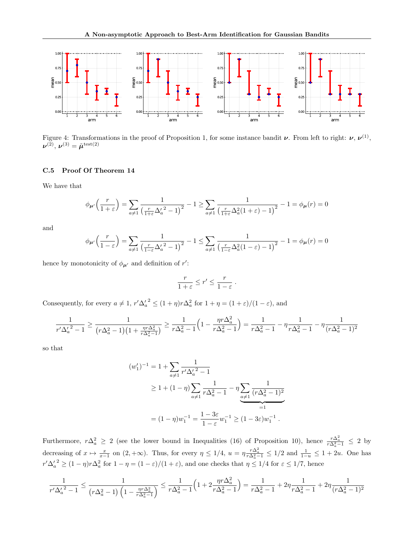<span id="page-17-0"></span>

Figure 4: Transformations in the proof of Proposition [1,](#page-2-1) for some instance bandit  $\nu$ . From left to right:  $\nu$ ,  $\nu^{(1)}$ ,  $\boldsymbol{\nu}^{(2)},\,\boldsymbol{\nu}^{(3)}=\tilde{\boldsymbol{\mu}}^{\text{test}(2)}$ 

## C.5 Proof Of Theorem [14](#page-6-6)

We have that

$$
\phi_{\mu'}\left(\frac{r}{1+\varepsilon}\right) = \sum_{a \neq 1} \frac{1}{\left(\frac{r}{1+\varepsilon}\Delta_a'^2 - 1\right)^2} - 1 \ge \sum_{a \neq 1} \frac{1}{\left(\frac{r}{1+\varepsilon}\Delta_a^2(1+\varepsilon) - 1\right)^2} - 1 = \phi_{\mu}(r) = 0
$$

and

$$
\phi_{\mu'}\left(\frac{r}{1-\varepsilon}\right) = \sum_{a\neq 1} \frac{1}{\left(\frac{r}{1-\varepsilon}\Delta_a'^2 - 1\right)^2} - 1 \le \sum_{a\neq 1} \frac{1}{\left(\frac{r}{1-\varepsilon}\Delta_a^2(1-\varepsilon) - 1\right)^2} - 1 = \phi_{\mu}(r) = 0
$$

hence by monotonicity of  $\phi_{\mu'}$  and definition of r':

$$
\frac{r}{1+\varepsilon} \le r' \le \frac{r}{1-\varepsilon} \; .
$$

Consequently, for every  $a \neq 1$ ,  $r' \Delta_a^2 \leq (1 + \eta)r \Delta_a^2$  for  $1 + \eta = (1 + \varepsilon)/(1 - \varepsilon)$ , and

$$
\frac{1}{r'\Delta_a'^2 - 1} \ge \frac{1}{(r\Delta_a^2 - 1)(1 + \frac{\eta r \Delta_a^2}{r\Delta_a^2 - 1})} \ge \frac{1}{r\Delta_a^2 - 1} \left(1 - \frac{\eta r \Delta_a^2}{r\Delta_a^2 - 1}\right) = \frac{1}{r\Delta_a^2 - 1} - \eta \frac{1}{r\Delta_a^2 - 1} - \eta \frac{1}{(r\Delta_a^2 - 1)^2}
$$

so that

$$
(w'_1)^{-1} = 1 + \sum_{a \neq 1} \frac{1}{r' \Delta_a'^2 - 1}
$$
  
\n
$$
\geq 1 + (1 - \eta) \sum_{a \neq 1} \frac{1}{r \Delta_a^2 - 1} - \eta \sum_{a \neq 1} \frac{1}{(r \Delta_a^2 - 1)^2}
$$
  
\n
$$
= (1 - \eta) w_1^{-1} = \frac{1 - 3\varepsilon}{1 - \varepsilon} w_1^{-1} \geq (1 - 3\varepsilon) w_1^{-1}.
$$

Furthermore,  $r\Delta_a^2 \geq 2$  (see the lower bound in Inequalities [\(16\)](#page-5-10) of Proposition [10\)](#page-5-4), hence  $\frac{r\Delta_a^2}{r\Delta_a^2-1} \leq 2$  by decreasing of  $x \mapsto \frac{x}{x-1}$  on  $(2, +\infty)$ . Thus, for every  $\eta \leq 1/4$ ,  $u = \eta \frac{r\Delta_a^2}{r\Delta_a^2 - 1} \leq 1/2$  and  $\frac{1}{1-u} \leq 1 + 2u$ . One has  $r'\Delta_a^2 \ge (1-\eta)r\Delta_a^2$  for  $1-\eta = (1-\varepsilon)/(1+\varepsilon)$ , and one checks that  $\eta \le 1/4$  for  $\varepsilon \le 1/7$ , hence

$$
\frac{1}{r'\Delta_a'^2 - 1} \le \frac{1}{\left(r\Delta_a^2 - 1\right)\left(1 - \frac{\eta r \Delta_a^2}{r\Delta_a^2 - 1}\right)} \le \frac{1}{r\Delta_a^2 - 1}\left(1 + 2\frac{\eta r \Delta_a^2}{r\Delta_a^2 - 1}\right) = \frac{1}{r\Delta_a^2 - 1} + 2\eta \frac{1}{r\Delta_a^2 - 1} + 2\eta \frac{1}{(r\Delta_a^2 - 1)^2}
$$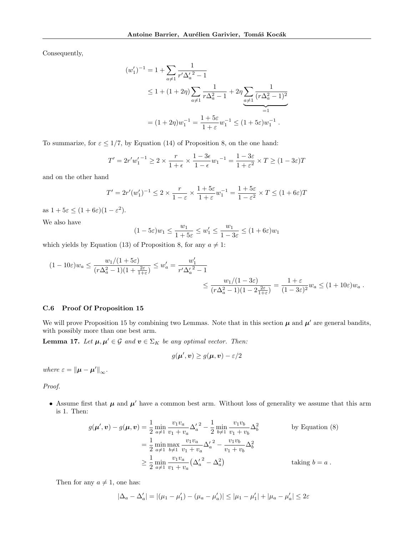Consequently,

$$
(w'_1)^{-1} = 1 + \sum_{a \neq 1} \frac{1}{r' \Delta_a'^2 - 1}
$$
  
\n
$$
\leq 1 + (1 + 2\eta) \sum_{a \neq 1} \frac{1}{r \Delta_a^2 - 1} + 2\eta \sum_{a \neq 1} \frac{1}{(r \Delta_a^2 - 1)^2}
$$
  
\n
$$
= (1 + 2\eta) w_1^{-1} = \frac{1 + 5\varepsilon}{1 + \varepsilon} w_1^{-1} \leq (1 + 5\varepsilon) w_1^{-1} .
$$

To summarize, for  $\varepsilon \leq 1/7$ , by Equation [\(14\)](#page-5-6) of Proposition [8,](#page-5-3) on the one hand:

$$
T' = 2r'w_1'^{-1} \ge 2 \times \frac{r}{1+\epsilon} \times \frac{1-3\epsilon}{1-\epsilon} w_1^{-1} = \frac{1-3\epsilon}{1+\epsilon^2} \times T \ge (1-3\epsilon)T
$$

and on the other hand

$$
T' = 2r'(w'_1)^{-1} \le 2 \times \frac{r}{1-\varepsilon} \times \frac{1+5\varepsilon}{1+\varepsilon} w_1^{-1} = \frac{1+5\varepsilon}{1-\varepsilon^2} \times T \le (1+6\varepsilon)T
$$

as  $1 + 5\varepsilon \leq (1 + 6\varepsilon)(1 - \varepsilon^2)$ .

We also have

$$
(1 - 5\varepsilon)w_1 \le \frac{w_1}{1 + 5\varepsilon} \le w'_1 \le \frac{w_1}{1 - 3\varepsilon} \le (1 + 6\varepsilon)w_1
$$

which yields by Equation [\(13\)](#page-5-2) of Proposition [8,](#page-5-3) for any  $a \neq 1$ :

$$
(1 - 10\varepsilon)w_a \le \frac{w_1/(1 + 5\varepsilon)}{(r\Delta_a^2 - 1)(1 + \frac{2\varepsilon}{1 + \varepsilon})} \le w'_a = \frac{w'_1}{r'\Delta_a'^2 - 1}
$$
  

$$
\le \frac{w_1/(1 - 3\varepsilon)}{(r\Delta_a^2 - 1)(1 - 2\frac{2\varepsilon}{1 + \varepsilon})} = \frac{1 + \varepsilon}{(1 - 3\varepsilon)^2}w_a \le (1 + 10\varepsilon)w_a.
$$

## C.6 Proof Of Proposition [15](#page-6-7)

We will prove Proposition [15](#page-6-7) by combining two Lemmas. Note that in this section  $\mu$  and  $\mu'$  are general bandits, with possibly more than one best arm.

<span id="page-18-0"></span>**Lemma 17.** Let  $\mu, \mu' \in \mathcal{G}$  and  $\mathbf{v} \in \Sigma_K$  be any optimal vector. Then:

$$
g(\boldsymbol{\mu}', \boldsymbol{v}) \ge g(\boldsymbol{\mu}, \boldsymbol{v}) - \varepsilon/2
$$

where  $\varepsilon = {\|\boldsymbol{\mu} - \boldsymbol{\mu}'\|}_{\infty}$ .

Proof.

• Assume first that  $\mu$  and  $\mu'$  have a common best arm. Without loss of generality we assume that this arm is 1. Then:

$$
g(\boldsymbol{\mu}', \boldsymbol{v}) - g(\boldsymbol{\mu}, \boldsymbol{v}) = \frac{1}{2} \min_{a \neq 1} \frac{v_1 v_a}{v_1 + v_a} {\Delta'_a}^2 - \frac{1}{2} \min_{b \neq 1} \frac{v_1 v_b}{v_1 + v_b} {\Delta^2_b} \qquad \text{by Equation (8)}
$$
  

$$
= \frac{1}{2} \min_{a \neq 1} \max_{b \neq 1} \frac{v_1 v_a}{v_1 + v_a} {\Delta'_a}^2 - \frac{v_1 v_b}{v_1 + v_b} {\Delta^2_b}
$$
  

$$
\geq \frac{1}{2} \min_{a \neq 1} \frac{v_1 v_a}{v_1 + v_a} ({\Delta'_a}^2 - {\Delta^2_a}) \qquad \text{taking } b = a .
$$

Then for any  $a \neq 1$ , one has:

$$
|\Delta_a - \Delta'_a| = |(\mu_1 - \mu'_1) - (\mu_a - \mu'_a)| \le |\mu_1 - \mu'_1| + |\mu_a - \mu'_a| \le 2\varepsilon
$$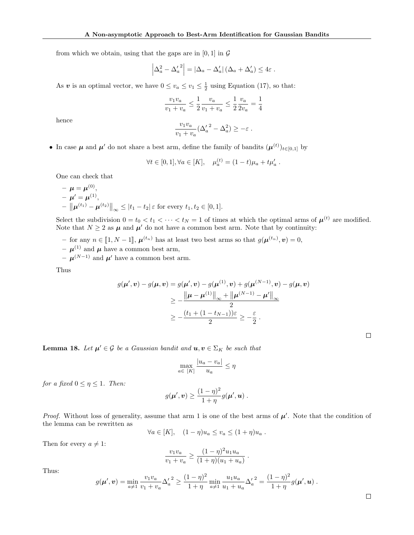from which we obtain, using that the gaps are in [0, 1] in  $\mathcal G$ 

$$
\left|\Delta_a^2 - {\Delta_a'}^2\right| = \left|\Delta_a - \Delta_a'\right| \left(\Delta_a + \Delta_a'\right) \leq 4\varepsilon.
$$

As v is an optimal vector, we have  $0 \le v_a \le v_1 \le \frac{1}{2}$  using Equation [\(17\)](#page-5-9), so that:

$$
\frac{v_1v_a}{v_1+v_a} \leq \frac{1}{2}\frac{v_a}{v_1+v_a} \leq \frac{1}{2}\frac{v_a}{2v_a} = \frac{1}{4}
$$

hence

$$
\frac{v_1v_a}{v_1+v_a}(\Delta_a'^2-\Delta_a^2)\geq -\varepsilon.
$$

• In case  $\mu$  and  $\mu'$  do not share a best arm, define the family of bandits  $(\mu^{(t)})_{t\in[0,1]}$  by

$$
\forall t \in [0,1], \forall a \in [K], \quad \mu_a^{(t)} = (1-t)\mu_a + t\mu'_a \; .
$$

One can check that

$$
- \mu = \mu^{(0)},
$$
  
-  $\mu' = \mu^{(1)},$   
-  $\|\mu^{(t_1)} - \mu^{(t_2)}\|_{\infty} \le |t_1 - t_2| \varepsilon$  for every  $t_1, t_2 \in [0, 1].$ 

Select the subdivision  $0 = t_0 < t_1 < \cdots < t_N = 1$  of times at which the optimal arms of  $\mu^{(t)}$  are modified. Note that  $N \geq 2$  as  $\mu$  and  $\mu'$  do not have a common best arm. Note that by continuity:

- for any  $n \in [\![1, N-1]\!]$ ,  $\boldsymbol{\mu}^{(t_n)}$  has at least two best arms so that  $g(\boldsymbol{\mu}^{(t_n)}, \boldsymbol{v}) = 0$ ,
- $\mu^{(1)}$  and  $\mu$  have a common best arm,
- $\mu^{(N-1)}$  and  $\mu'$  have a common best arm.

Thus

$$
g(\mu', \nu) - g(\mu, \nu) = g(\mu', \nu) - g(\mu^{(1)}, \nu) + g(\mu^{(N-1)}, \nu) - g(\mu, \nu)
$$
  
\n
$$
\ge -\frac{\|\mu - \mu^{(1)}\|_{\infty} + \|\mu^{(N-1)} - \mu'\|_{\infty}}{2}
$$
  
\n
$$
\ge -\frac{(t_1 + (1 - t_{N-1}))\varepsilon}{2} \ge -\frac{\varepsilon}{2}.
$$

 $\Box$ 

<span id="page-19-0"></span>**Lemma 18.** Let  $\mu' \in \mathcal{G}$  be a Gaussian bandit and  $u, v \in \Sigma_K$  be such that

$$
\max_{a \in [K]} \frac{|u_a - v_a|}{u_a} \le \eta
$$

for a fixed  $0 \leq \eta \leq 1$ . Then:

$$
g(\boldsymbol{\mu}', \boldsymbol{v}) \geq \frac{(1-\eta)^2}{1+\eta} g(\boldsymbol{\mu}', \boldsymbol{u}) .
$$

*Proof.* Without loss of generality, assume that arm 1 is one of the best arms of  $\mu'$ . Note that the condition of the lemma can be rewritten as

$$
\forall a \in [K], \quad (1 - \eta)u_a \le v_a \le (1 + \eta)u_a.
$$

Then for every  $a \neq 1$ :

$$
\frac{v_1v_a}{v_1+v_a} \ge \frac{(1-\eta)^2 u_1u_a}{(1+\eta)(u_1+u_a)}.
$$

Thus:

$$
g(\boldsymbol{\mu}', \boldsymbol{v}) = \min_{a \neq 1} \frac{v_1 v_a}{v_1 + v_a} {\Delta'_a}^2 \geq \frac{(1 - \eta)^2}{1 + \eta} \min_{a \neq 1} \frac{u_1 u_a}{u_1 + u_a} {\Delta'_a}^2 = \frac{(1 - \eta)^2}{1 + \eta} g(\boldsymbol{\mu}', \boldsymbol{u}) .
$$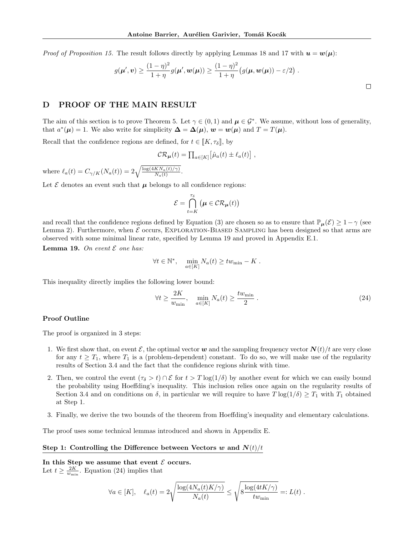*Proof of Proposition [15.](#page-6-7)* The result follows directly by applying Lemmas [18](#page-19-0) and [17](#page-18-0) with  $u = w(\mu)$ :

$$
g(\boldsymbol{\mu}', \boldsymbol{v}) \geq \frac{(1-\eta)^2}{1+\eta} g(\boldsymbol{\mu}', \boldsymbol{w}(\boldsymbol{\mu})) \geq \frac{(1-\eta)^2}{1+\eta} \big(g(\boldsymbol{\mu}, \boldsymbol{w}(\boldsymbol{\mu})) - \varepsilon/2\big) .
$$

# <span id="page-20-0"></span>D PROOF OF THE MAIN RESULT

The aim of this section is to prove Theorem [5.](#page-4-2) Let  $\gamma \in (0,1)$  and  $\mu \in \mathcal{G}^*$ . We assume, without loss of generality, that  $a^*(\mu) = 1$ . We also write for simplicity  $\Delta = \Delta(\mu)$ ,  $w = w(\mu)$  and  $T = T(\mu)$ .

Recall that the confidence regions are defined, for  $t \in [K, \tau_{\delta}],$  by

$$
\mathcal{CR}_{\mu}(t) = \prod_{a \in [K]} \left[ \hat{\mu}_a(t) \pm \ell_a(t) \right],
$$

where  $\ell_a(t) = C_{\gamma/K}(N_a(t)) = 2\sqrt{\frac{\log(4KN_a(t)/\gamma)}{N_a(t)}}$ .

Let  $\mathcal E$  denotes an event such that  $\mu$  belongs to all confidence regions:

$$
\mathcal{E} = \bigcap_{t=K}^{\tau_{\delta}} \big( \boldsymbol{\mu} \in \mathcal{CR}_{\boldsymbol{\mu}}(t) \big)
$$

and recall that the confidence regions defined by Equation [\(3\)](#page-3-2) are chosen so as to ensure that  $\mathbb{P}_{\mu}(\mathcal{E}) \geq 1-\gamma$  (see Lemma [2\)](#page-3-3). Furthermore, when  $\mathcal E$  occurs, EXPLORATION-BIASED SAMPLING has been designed so that arms are observed with some minimal linear rate, specified by Lemma [19](#page-20-1) and proved in Appendix [E.1.](#page-25-0)

<span id="page-20-1"></span>Lemma 19. On event  $\mathcal E$  one has:

$$
\forall t \in \mathbb{N}^*, \quad \min_{a \in [K]} N_a(t) \geq t w_{\min} - K.
$$

This inequality directly implies the following lower bound:

<span id="page-20-2"></span>
$$
\forall t \ge \frac{2K}{w_{\min}}, \quad \min_{a \in [K]} N_a(t) \ge \frac{tw_{\min}}{2} \ . \tag{24}
$$

#### Proof Outline

The proof is organized in 3 steps:

- 1. We first show that, on event  $\mathcal{E}$ , the optimal vector w and the sampling frequency vector  $\mathbf{N}(t)/t$  are very close for any  $t \geq T_1$ , where  $T_1$  is a (problem-dependent) constant. To do so, we will make use of the regularity results of Section [3.4](#page-6-1) and the fact that the confidence regions shrink with time.
- 2. Then, we control the event  $(\tau_{\delta} > t) \cap \mathcal{E}$  for  $t > T \log(1/\delta)$  by another event for which we can easily bound the probability using Hoeffding's inequality. This inclusion relies once again on the regularity results of Section [3.4](#page-6-1) and on conditions on  $\delta$ , in particular we will require to have  $T \log(1/\delta) \geq T_1$  with  $T_1$  obtained at Step 1.
- 3. Finally, we derive the two bounds of the theorem from Hoeffding's inequality and elementary calculations.

The proof uses some technical lemmas introduced and shown in Appendix [E.](#page-25-1)

#### Step 1: Controlling the Difference between Vectors w and  $N(t)/t$

In this Step we assume that event  $\mathcal E$  occurs. Let  $t \geq \frac{2K}{w_{\min}}$ . Equation [\(24\)](#page-20-2) implies that

$$
\forall a \in [K], \quad \ell_a(t) = 2 \sqrt{\frac{\log(4N_a(t)K/\gamma)}{N_a(t)}} \le \sqrt{8 \frac{\log(4tK/\gamma)}{tw_{\min}}} =: L(t) .
$$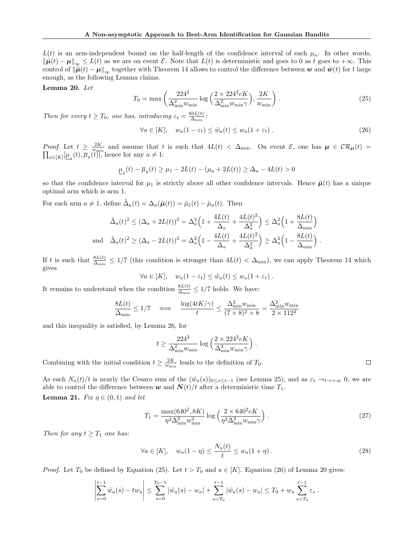$L(t)$  is an arm-independent bound on the half-length of the confidence interval of each  $\mu_a$ . In other words,  $\|\tilde{\boldsymbol{\mu}}(t) - \boldsymbol{\mu}\|_{\infty} \leq L(t)$  as we are on event E. Note that  $L(t)$  is deterministic and goes to 0 as t goes to  $+\infty$ . This control of  $\|\tilde{\boldsymbol{\mu}}(t) - \boldsymbol{\mu}\|_{\infty}$  together with Theorem [14](#page-6-6) allows to control the difference between w and  $\tilde{\boldsymbol{w}}(t)$  for t large enough, as the following Lemma claims.

<span id="page-21-2"></span>Lemma 20. Let

<span id="page-21-0"></span>
$$
T_0 = \max\left(\frac{224^2}{\Delta_{\min}^2 w_{\min}} \log\left(\frac{2 \times 224^2 eK}{\Delta_{\min}^2 w_{\min}\gamma}\right), \frac{2K}{w_{\min}}\right). \tag{25}
$$

Then for every  $t \geq T_0$ , one has, introducing  $\varepsilon_t = \frac{80L(t)}{\Delta_{\min}}$  $\frac{{\rm 80}L(t)}{\Delta_{\rm min}}$  :

<span id="page-21-1"></span>
$$
\forall a \in [K], \quad w_a(1 - \varepsilon_t) \le \tilde{w}_a(t) \le w_a(1 + \varepsilon_t).
$$
\n(26)

*Proof.* Let  $t \geq \frac{2K}{w_{\min}}$  and assume that t is such that  $4L(t) < \Delta_{\min}$ . On event  $\mathcal{E}$ , one has  $\mu \in \mathcal{CR}_{\mu}(t) = \prod_{a \in [K]} [\mu_{a}(t), \overline{\mu}_{a}(t)]$ , hence for any  $a \neq 1$ :  $_{a\in[K]}[\underline{\mu}_a(t), \overline{\mu}_a(t)]$ , hence for any  $a \neq 1$ :

$$
\underline{\mu}_1(t) - \overline{\mu}_a(t) \ge \mu_1 - 2L(t) - (\mu_a + 2L(t)) \ge \Delta_a - 4L(t) > 0
$$

so that the confidence interval for  $\mu_1$  is strictly above all other confidence intervals. Hence  $\tilde{\mu}(t)$  has a unique optimal arm which is arm 1.

For each arm  $a \neq 1$ , define  $\tilde{\Delta}_a(t) = \Delta_a(\tilde{\boldsymbol{\mu}}(t)) = \tilde{\mu}_1(t) - \tilde{\mu}_a(t)$ . Then

$$
\tilde{\Delta}_a(t)^2 \le (\Delta_a + 2L(t))^2 = \Delta_a^2 \left( 1 + \frac{4L(t)}{\Delta_a} + \frac{4L(t)^2}{\Delta_a^2} \right) \le \Delta_a^2 \left( 1 + \frac{8L(t)}{\Delta_{\min}} \right)
$$
  
and 
$$
\tilde{\Delta}_a(t)^2 \ge (\Delta_a - 2L(t))^2 = \Delta_a^2 \left( 1 - \frac{4L(t)}{\Delta_a} + \frac{4L(t)^2}{\Delta_a^2} \right) \ge \Delta_a^2 \left( 1 - \frac{8L(t)}{\Delta_{\min}} \right).
$$

If t is such that  $\frac{8L(t)}{\Delta_{\min}} \leq 1/7$  (this condition is stronger than  $4L(t) < \Delta_{\min}$ ), we can apply Theorem [14](#page-6-6) which gives

$$
\forall a \in [K], \quad w_a(1 - \varepsilon_t) \leq \tilde{w}_a(t) \leq w_a(1 + \varepsilon_t).
$$

It remains to understand when the condition  $\frac{8L(t)}{\Delta_{\min}} \leq 1/7$  holds. We have:

$$
\frac{8L(t)}{\Delta_{\min}} \le 1/7 \quad \Longleftrightarrow \quad \frac{\log(4tK/\gamma)}{t} \le \frac{\Delta_{\min}^2 w_{\min}}{(7 \times 8)^2 \times 8} = \frac{\Delta_{\min}^2 w_{\min}}{2 \times 112^2}
$$

and this inequality is satisfied, by Lemma [26,](#page-25-2) for

$$
t \ge \frac{224^2}{\Delta_{\min}^2 w_{\min}} \log \left( \frac{2 \times 224^2 eK}{\Delta_{\min}^2 w_{\min} \gamma} \right).
$$
  

$$
\ge \frac{2K}{\Delta_{\min}^2} \text{ leads to the definition of } T_0.
$$

Combining with the initial condition  $t \geq \frac{2K}{w_{\min}}$  leads to the definition of  $T_0$ .

As each  $N_a(t)/t$  is nearly the Cesaro sum of the  $(\tilde{w}_a(s))_{0\leq s\leq t-1}$  (see Lemma [25\)](#page-25-3), and as  $\varepsilon_t \to_{t\to+\infty} 0$ , we are able to control the difference between w and  $N(t)/t$  after a deterministic time  $T_1$ .

<span id="page-21-4"></span>**Lemma 21.** Fix  $\eta \in (0,1)$  and let

<span id="page-21-3"></span>
$$
T_1 = \frac{\max(640^2, 8K)}{\eta^2 \Delta_{\min}^2 w_{\min}^2} \log\left(\frac{2 \times 640^2 eK}{\eta^2 \Delta_{\min}^2 w_{\min} \gamma}\right).
$$
 (27)

Then for any  $t \geq T_1$  one has:

$$
\forall a \in [K], \quad w_a(1-\eta) \le \frac{N_a(t)}{t} \le w_a(1+\eta) \tag{28}
$$

*Proof.* Let  $T_0$  be defined by Equation [\(25\)](#page-21-0). Let  $t > T_0$  and  $a \in [K]$ . Equation [\(26\)](#page-21-1) of Lemma [20](#page-21-2) gives:

$$
\left|\sum_{s=0}^{t-1} \tilde{w}_a(s) - tw_a\right| \leq \sum_{s=0}^{T_0-1} |\tilde{w}_a(s) - w_a| + \sum_{s=T_0}^{t-1} |\tilde{w}_a(s) - w_a| \leq T_0 + w_a \sum_{s=T_0}^{t-1} \varepsilon_s.
$$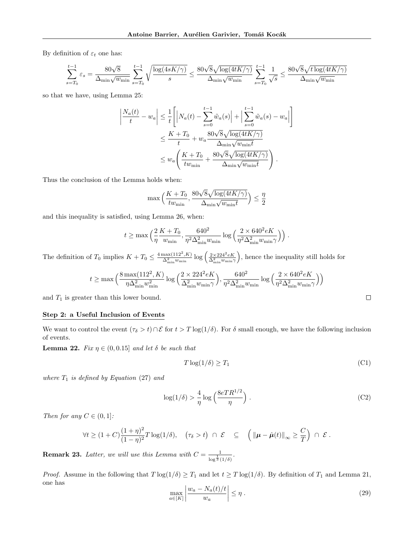By definition of  $\varepsilon_t$  one has:

$$
\sum_{s=T_0}^{t-1}\varepsilon_s=\frac{80\sqrt{8}}{\Delta_{\min}\sqrt{w_{\min}}}\sum_{s=T_0}^{t-1}\sqrt{\frac{\log(4sK/\gamma)}{s}}\leq \frac{80\sqrt{8}\sqrt{\log(4tK/\gamma)}}{\Delta_{\min}\sqrt{w_{\min}}}\sum_{s=T_0}^{t-1}\frac{1}{\sqrt{s}}\leq \frac{80\sqrt{8}\sqrt{t\log(4tK/\gamma)}}{\Delta_{\min}\sqrt{w_{\min}}}
$$

so that we have, using Lemma [25:](#page-25-3)

$$
\left| \frac{N_a(t)}{t} - w_a \right| \leq \frac{1}{t} \left[ \left| N_a(t) - \sum_{s=0}^{t-1} \tilde{w}_a(s) \right| + \left| \sum_{s=0}^{t-1} \tilde{w}_a(s) - w_a \right| \right]
$$
  

$$
\leq \frac{K + T_0}{t} + w_a \frac{80\sqrt{8}\sqrt{\log(4tK/\gamma)}}{\Delta_{\min}\sqrt{w_{\min}t}}
$$
  

$$
\leq w_a \left( \frac{K + T_0}{t w_{\min}} + \frac{80\sqrt{8}\sqrt{\log(4tK/\gamma)}}{\Delta_{\min}\sqrt{w_{\min}t}} \right).
$$

Thus the conclusion of the Lemma holds when:

$$
\max\Big(\frac{K+T_0}{tw_{\min}}, \frac{80\sqrt{8}\sqrt{\log(4tK/\gamma)}}{\Delta_{\min}\sqrt{w_{\min}t}}\Big) \le \frac{\eta}{2}
$$

and this inequality is satisfied, using Lemma [26,](#page-25-2) when:

$$
t \ge \max\left(\frac{2}{\eta}\frac{K+T_0}{w_{\min}}, \frac{640^2}{\eta^2 \Delta_{\min}^2 w_{\min}} \log\left(\frac{2 \times 640^2 eK}{\eta^2 \Delta_{\min}^2 w_{\min} \gamma}\right)\right).
$$

The definition of  $T_0$  implies  $K + T_0 \leq \frac{4 \max(112^2,K)}{\Delta_{\min}^2 w_{\min}} \log \left(\frac{2 \times 224^2 eK}{\Delta_{\min}^2 w_{\min} \gamma}\right)$ , hence the inequality still holds for

$$
t \ge \max\Big(\frac{8\max(112^2, K)}{\eta\Delta_{\min}^2 w_{\min}^2}\log\Big(\frac{2\times 224^2 eK}{\Delta_{\min}^2 w_{\min}\gamma}\Big), \frac{640^2}{\eta^2\Delta_{\min}^2 w_{\min}}\log\Big(\frac{2\times 640^2 eK}{\eta^2\Delta_{\min}^2 w_{\min}\gamma}\Big)\Big)
$$

and  $T_1$  is greater than this lower bound.

## Step 2: a Useful Inclusion of Events

We want to control the event  $(\tau_{\delta} > t) \cap \mathcal{E}$  for  $t > T \log(1/\delta)$ . For  $\delta$  small enough, we have the following inclusion of events.

<span id="page-22-2"></span>**Lemma 22.** Fix  $\eta \in (0, 0.15]$  and let  $\delta$  be such that

$$
T \log(1/\delta) \ge T_1 \tag{C1}
$$

<span id="page-22-1"></span><span id="page-22-0"></span> $\Box$ 

where  $T_1$  is defined by Equation [\(27\)](#page-21-3) and

$$
\log(1/\delta) > \frac{4}{\eta} \log \left( \frac{8eTR^{1/2}}{\eta} \right). \tag{C2}
$$

Then for any  $C \in (0,1]$ :

$$
\forall t \ge (1+C)\frac{(1+\eta)^2}{(1-\eta)^2}T\log(1/\delta), \quad (\tau_{\delta} > t) \ \cap \ \mathcal{E} \quad \subseteq \quad \left( \|\boldsymbol{\mu}-\hat{\boldsymbol{\mu}}(t)\|_{\infty} \ge \frac{C}{T} \right) \ \cap \ \mathcal{E} \ .
$$

**Remark 23.** Latter, we will use this Lemma with  $C = \frac{1}{\sqrt{1-\lambda}}$  $\frac{1}{\log^{\frac{1}{3}}(1/\delta)}$ .

*Proof.* Assume in the following that  $T \log(1/\delta) \geq T_1$  and let  $t \geq T \log(1/\delta)$ . By definition of  $T_1$  and Lemma [21,](#page-21-4) one has J.

$$
\max_{a \in [K]} \left| \frac{w_a - N_a(t)/t}{w_a} \right| \le \eta \,. \tag{29}
$$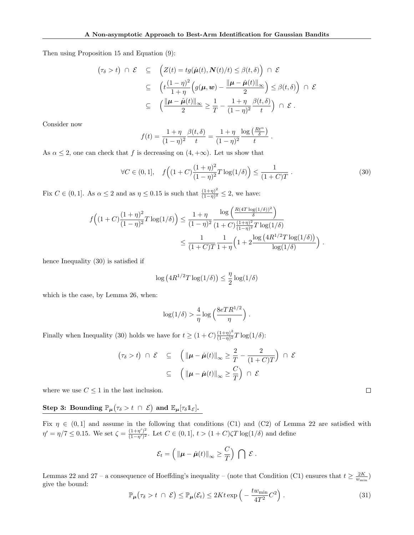Then using Proposition [15](#page-6-7) and Equation [\(9\)](#page-5-13):

$$
(\tau_{\delta} > t) \cap \mathcal{E} \subseteq \left( Z(t) = tg(\hat{\mu}(t), N(t)/t) \leq \beta(t, \delta) \right) \cap \mathcal{E}
$$
  

$$
\subseteq \left( t \frac{(1 - \eta)^2}{1 + \eta} \left( g(\mu, \mathbf{w}) - \frac{\|\mu - \hat{\mu}(t)\|_{\infty}}{2} \right) \leq \beta(t, \delta) \right) \cap \mathcal{E}
$$
  

$$
\subseteq \left( \frac{\|\mu - \hat{\mu}(t)\|_{\infty}}{2} \geq \frac{1}{T} - \frac{1 + \eta}{(1 - \eta)^2} \frac{\beta(t, \delta)}{t} \right) \cap \mathcal{E}.
$$

Consider now

$$
f(t) = \frac{1+\eta}{(1-\eta)^2} \frac{\beta(t,\delta)}{t} = \frac{1+\eta}{(1-\eta)^2} \frac{\log\left(\frac{Rt^{\alpha}}{\delta}\right)}{t}
$$

As  $\alpha \leq 2$ , one can check that f is decreasing on  $(4, +\infty)$ . Let us show that

<span id="page-23-0"></span>
$$
\forall C \in (0,1], \quad f\left((1+C)\frac{(1+\eta)^2}{(1-\eta)^2}T\log(1/\delta)\right) \le \frac{1}{(1+C)T}.
$$
\n(30)

.

Fix  $C \in (0,1]$ . As  $\alpha \leq 2$  and as  $\eta \leq 0.15$  is such that  $\frac{(1+\eta)^2}{(1-\eta)^2}$  $\frac{(1+\eta)^2}{(1-\eta)^2} \leq 2$ , we have:

$$
f((1+C)\frac{(1+\eta)^2}{(1-\eta)^2}T\log(1/\delta)) \le \frac{1+\eta}{(1-\eta)^2}\frac{\log\left(\frac{R(4T\log(1/\delta))^2}{\delta}\right)}{(1+C)\frac{(1+\eta)^2}{(1-\eta)^2}T\log(1/\delta)}
$$

$$
\le \frac{1}{(1+C)T}\frac{1}{1+\eta}\left(1+2\frac{\log(4R^{1/2}T\log(1/\delta))}{\log(1/\delta)}\right).
$$

hence Inequality [\(30\)](#page-23-0) is satisfied if

$$
\log\left(4R^{1/2}T\log(1/\delta)\right) \leq \frac{\eta}{2}\log(1/\delta)
$$

which is the case, by Lemma [26,](#page-25-2) when:

$$
\log(1/\delta) > \frac{4}{\eta} \log\left(\frac{8eTR^{1/2}}{\eta}\right).
$$

Finally when Inequality [\(30\)](#page-23-0) holds we have for  $t \ge (1+C)\frac{(1+\eta)^2}{(1-\eta)^2}$  $\frac{(1+\eta)^2}{(1-\eta)^2}T\log(1/\delta)$ :

$$
(\tau_{\delta} > t) \cap \mathcal{E} \subseteq \left( \|\boldsymbol{\mu} - \hat{\boldsymbol{\mu}}(t)\|_{\infty} \geq \frac{2}{T} - \frac{2}{(1+C)T} \right) \cap \mathcal{E}
$$

$$
\subseteq \left( \|\boldsymbol{\mu} - \hat{\boldsymbol{\mu}}(t)\|_{\infty} \geq \frac{C}{T} \right) \cap \mathcal{E}
$$

where we use  $C \leq 1$  in the last inclusion.

Step 3: Bounding  $\mathbb{P}_{\mu}(\tau_{\delta} > t \ \cap \ \mathcal{E})$  and  $\mathbb{E}_{\mu}[\tau_{\delta}1_{\mathcal{E}}].$ 

Fix  $\eta \in (0,1]$  and assume in the following that conditions [\(C1\)](#page-22-0) and [\(C2\)](#page-22-1) of Lemma [22](#page-22-2) are satisfied with  $\eta' = \eta/7 \leq 0.15$ . We set  $\zeta = \frac{(1+\eta')^2}{(1-\eta')^2}$  $\frac{(1+\eta)}{(1-\eta')^2}$ . Let  $C \in (0,1], t > (1+C)\zeta T \log(1/\delta)$  and define

$$
\mathcal{E}_t = \left( \|\boldsymbol{\mu} - \hat{\boldsymbol{\mu}}(t)\|_{\infty} \geq \frac{C}{T} \right) \bigcap \mathcal{E}.
$$

Lemmas [22](#page-22-2) and [27](#page-25-4) – a consequence of Hoeffding's inequality – (note that Condition [\(C1\)](#page-22-0) ensures that  $t \geq \frac{2K}{w_{\min}}$ ) give the bound:

<span id="page-23-1"></span>
$$
\mathbb{P}_{\mu}(\tau_{\delta} > t \ \cap \ \mathcal{E}) \leq \mathbb{P}_{\mu}(\mathcal{E}_{t}) \leq 2Kt \exp\left(-\frac{tw_{\min}}{4T^{2}}C^{2}\right). \tag{31}
$$

 $\Box$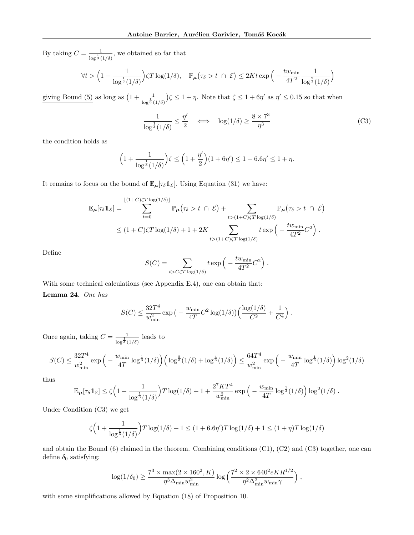By taking  $C = \frac{1}{\sqrt{1}}$  $\frac{1}{\log^{\frac{1}{3}}(1/\delta)}$ , we obtained so far that

$$
\forall t > \Big(1 + \frac{1}{\log^{\frac{1}{3}}(1/\delta)}\Big) \zeta T \log(1/\delta), \quad \mathbb{P}_{\mu}\left(\tau_{\delta} > t \; \cap \; \mathcal{E}\right) \leq 2Kt \exp\Big(-\frac{t w_{\min}}{4T^2} \frac{1}{\log^{\frac{2}{3}}(1/\delta)}\Big)
$$

giving Bound [\(5\)](#page-4-7) as long as  $\left(1+\frac{1}{\log^{\frac{1}{3}}(1/\delta)}\right)\zeta \leq 1+\eta$ . Note that  $\zeta \leq 1+6\eta'$  as  $\eta' \leq 0.15$  so that when

<span id="page-24-0"></span>
$$
\frac{1}{\log^{\frac{1}{3}}(1/\delta)} \le \frac{\eta'}{2} \quad \Longleftrightarrow \quad \log(1/\delta) \ge \frac{8 \times 7^3}{\eta^3} \tag{C3}
$$

the condition holds as

$$
\Big(1 + \frac{1}{\log^{\frac{1}{3}}(1/\delta)}\Big)\zeta \le \Big(1 + \frac{\eta'}{2}\Big)(1 + 6\eta') \le 1 + 6.6\eta' \le 1 + \eta.
$$

It remains to focus on the bound of  $\mathbb{E}_{\mu}[\tau_{\delta}1_{\mathcal{E}}]$ . Using Equation [\(31\)](#page-23-1) we have:

$$
\mathbb{E}_{\mu}[\tau_{\delta}1_{\mathcal{E}}] = \sum_{t=0}^{\lfloor (1+C)\zeta T \log(1/\delta) \rfloor} \mathbb{P}_{\mu}(\tau_{\delta} > t \cap \mathcal{E}) + \sum_{t > (1+C)\zeta T \log(1/\delta)} \mathbb{P}_{\mu}(\tau_{\delta} > t \cap \mathcal{E})
$$
  
 
$$
\leq (1+C)\zeta T \log(1/\delta) + 1 + 2K \sum_{t > (1+C)\zeta T \log(1/\delta)} t \exp\left(-\frac{tw_{\min}}{4T^2}C^2\right).
$$

Define

$$
S(C) = \sum_{t > C\zeta T \log(1/\delta)} t \exp\left(-\frac{tw_{\min}}{4T^2}C^2\right).
$$

<span id="page-24-1"></span>With some technical calculations (see Appendix [E.4\)](#page-26-0), one can obtain that: Lemma 24. One has

$$
S(C) \leq \frac{32T^4}{w_{\min}^2} \exp\big(-\frac{w_{\min}}{4T}C^2\log(1/\delta)\big)\Big(\frac{\log(1/\delta)}{C^2} + \frac{1}{C^4}\Big) .
$$

Once again, taking  $C = \frac{1}{\sqrt{1}}$  $\frac{1}{\log^{\frac{1}{3}}(1/\delta)}$  leads to

$$
S(C) \le \frac{32T^4}{w_{\min}^2} \exp\left(-\frac{w_{\min}}{4T} \log^{\frac{1}{3}}(1/\delta)\right) \left(\log^{\frac{5}{3}}(1/\delta) + \log^{\frac{4}{3}}(1/\delta)\right) \le \frac{64T^4}{w_{\min}^2} \exp\left(-\frac{w_{\min}}{4T} \log^{\frac{1}{3}}(1/\delta)\right) \log^2(1/\delta)
$$

thus

$$
\mathbb{E}_{\mu}[\tau_{\delta} \mathbb{1}_{\mathcal{E}}] \leq \zeta \Big(1 + \frac{1}{\log^{\frac{1}{3}}(1/\delta)}\Big)T\log(1/\delta) + 1 + \frac{2^7KT^4}{w_{\min}^2}\exp\Big(-\frac{w_{\min}}{4T}\log^{\frac{1}{3}}(1/\delta)\Big)\log^2(1/\delta).
$$

Under Condition [\(C3\)](#page-24-0) we get

$$
\zeta \Big(1 + \frac{1}{\log^{\frac{1}{3}}(1/\delta)}\Big)T\log(1/\delta) + 1 \le (1 + 6.6\eta')T\log(1/\delta) + 1 \le (1 + \eta)T\log(1/\delta)
$$

and obtain the Bound  $(6)$  claimed in the theorem. Combining conditions  $(C1)$ ,  $(C2)$  and  $(C3)$  together, one can define  $\delta_0$  satisfying:

$$
\log(1/\delta_0) \ge \frac{7^3 \times \max(2 \times 160^2, K)}{\eta^3 \Delta_{\min} w_{\min}^2} \log\left(\frac{7^2 \times 2 \times 640^2 eKR^{1/2}}{\eta^2 \Delta_{\min}^2 w_{\min}\gamma}\right),
$$

with some simplifications allowed by Equation [\(18\)](#page-5-12) of Proposition [10.](#page-5-4)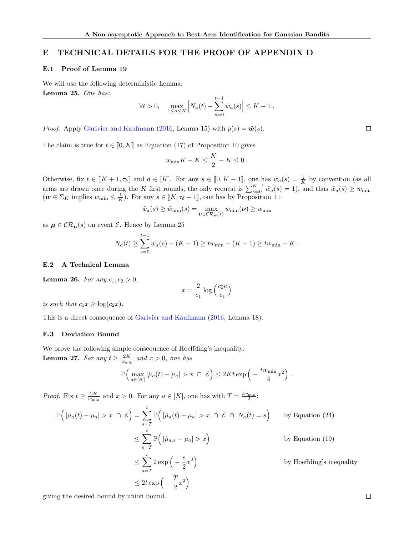# <span id="page-25-1"></span>E TECHNICAL DETAILS FOR THE PROOF OF APPENDIX [D](#page-20-0)

### <span id="page-25-0"></span>E.1 Proof of Lemma [19](#page-20-1)

<span id="page-25-3"></span>We will use the following deterministic Lemma: Lemma 25. One has:

$$
\forall t > 0, \quad \max_{1 \le a \le K} \left| N_a(t) - \sum_{s=0}^{t-1} \tilde{w}_a(s) \right| \le K - 1.
$$

*Proof.* Apply [Garivier and Kaufmann](#page-9-3) [\(2016,](#page-9-3) Lemma 15) with  $p(s) = \tilde{\boldsymbol{w}}(s)$ .

The claim is true for  $t \in [0, K]$  as Equation [\(17\)](#page-5-9) of Proposition [10](#page-5-4) gives

$$
w_{\min}K - K \le \frac{K}{2} - K \le 0.
$$

Otherwise, fix  $t \in [K + 1, \tau_{\delta}]$  and  $a \in [K]$ . For any  $s \in [0, K - 1]$ , one has  $\tilde{w}_a(s) = \frac{1}{K}$  by convention (as all arms are drawn once during the K first rounds, the only request is  $\sum_{s=0}^{K-1} \tilde{w}_a(s) = 1$ , and thus  $\tilde{w}_a(s) \geq w_{\min}$  $(w \in \Sigma_K$  implies  $w_{\min} \leq \frac{1}{K}$  $w_{\min} \leq \frac{1}{K}$  $w_{\min} \leq \frac{1}{K}$ ). For any  $s \in [[K, \tau_{\delta} - 1]]$ , one has by Proposition 1:

$$
\tilde{w}_a(s) \ge \tilde{w}_{\min}(s) = \max_{\boldsymbol{\nu} \in \mathcal{CR}_{\boldsymbol{\mu}}(s)} w_{\min}(\boldsymbol{\nu}) \ge w_{\min}
$$

as  $\mu \in \mathcal{CR}_{\mu}(s)$  on event  $\mathcal E$ . Hence by Lemma [25](#page-25-3)

$$
N_a(t) \ge \sum_{s=0}^{t-1} \tilde{w}_a(s) - (K - 1) \ge tw_{\min} - (K - 1) \ge tw_{\min} - K.
$$

#### E.2 A Technical Lemma

<span id="page-25-2"></span>**Lemma 26.** For any  $c_1, c_2 > 0$ ,

$$
x = \frac{2}{c_1} \log \left(\frac{c_2 e}{c_1}\right)
$$

is such that  $c_1x \geq \log(c_2x)$ .

This is a direct consequence of [Garivier and Kaufmann](#page-9-3) [\(2016,](#page-9-3) Lemma 18).

## E.3 Deviation Bound

<span id="page-25-4"></span>We prove the following simple consequence of Hoeffding's inequality. **Lemma 27.** For any  $t \geq \frac{2K}{w_{\min}}$  and  $x > 0$ , one has

$$
\mathbb{P}\Big(\max_{a\in[K]}|\hat{\mu}_a(t)-\mu_a|>x\;\cap\;\mathcal{E}\Big)\leq 2Kt\exp\Big(-\frac{tw_{\min}}{4}x^2\Big)\;.
$$

*Proof.* Fix  $t \geq \frac{2K}{w_{\min}}$  and  $x > 0$ . For any  $a \in [K]$ , one has with  $T = \frac{tw_{\min}}{2}$ :

$$
\mathbb{P}\Big(|\hat{\mu}_a(t) - \mu_a| > x \cap \mathcal{E}\Big) = \sum_{s=T}^t \mathbb{P}\Big(|\hat{\mu}_a(t) - \mu_a| > x \cap \mathcal{E} \cap N_a(t) = s\Big) \qquad \text{by Equation (24)}
$$
\n
$$
\leq \sum_{s=T}^t \mathbb{P}\Big(|\hat{\mu}_{a,s} - \mu_a| > x\Big) \qquad \qquad \text{by Equation (19)}
$$
\n
$$
\leq \sum_{s=T}^t 2 \exp\Big(-\frac{s}{2}x^2\Big) \qquad \qquad \text{by Hoeffding's inequality}
$$
\n
$$
\leq 2t \exp\Big(-\frac{T}{2}x^2\Big)
$$

giving the desired bound by union bound.

 $\Box$ 

 $\Box$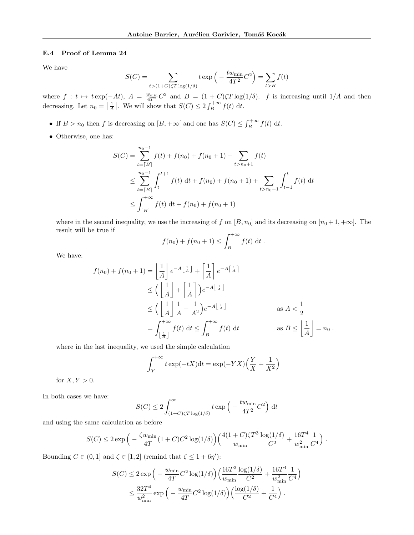## <span id="page-26-0"></span>E.4 Proof of Lemma [24](#page-24-1)

We have

$$
S(C) = \sum_{t > (1+C)\zeta T \log(1/\delta)} t \exp\left(-\frac{tw_{\min}}{4T^2}C^2\right) = \sum_{t > B} f(t)
$$

where  $f : t \mapsto t \exp(-At)$ ,  $A = \frac{w_{\min}}{4T^2} C^2$  and  $B = (1 + C)\zeta T \log(1/\delta)$ . f is increasing until 1/A and then decreasing. Let  $n_0 = \left\lfloor \frac{1}{A} \right\rfloor$ . We will show that  $S(C) \leq 2 \int_B^{+\infty} f(t) dt$ .

- If  $B > n_0$  then f is decreasing on  $[B, +\infty[$  and one has  $S(C) \leq \int_B^{+\infty} f(t) dt$ .
- $\bullet\,$  Otherwise, one has:

$$
S(C) = \sum_{t=\lceil B \rceil}^{n_0-1} f(t) + f(n_0) + f(n_0+1) + \sum_{t>n_0+1} f(t)
$$
  
\n
$$
\leq \sum_{t=\lceil B \rceil}^{n_0-1} \int_t^{t+1} f(t) dt + f(n_0) + f(n_0+1) + \sum_{t>n_0+1} \int_{t-1}^t f(t) dt
$$
  
\n
$$
\leq \int_{\lceil B \rceil}^{+\infty} f(t) dt + f(n_0) + f(n_0+1)
$$

where in the second inequality, we use the increasing of f on  $[B, n_0]$  and its decreasing on  $[n_0 + 1, +\infty]$ . The result will be true if

$$
f(n_0) + f(n_0 + 1) \le \int_B^{+\infty} f(t) dt
$$
.

We have:

$$
f(n_0) + f(n_0 + 1) = \left\lfloor \frac{1}{A} \right\rfloor e^{-A\left\lfloor \frac{1}{A} \right\rfloor} + \left\lceil \frac{1}{A} \right\rceil e^{-A\left\lceil \frac{1}{A} \right\rceil}
$$
  
\n
$$
\leq \left( \left\lfloor \frac{1}{A} \right\rfloor + \left\lceil \frac{1}{A} \right\rceil \right) e^{-A\left\lfloor \frac{1}{A} \right\rfloor}
$$
  
\n
$$
\leq \left( \left\lfloor \frac{1}{A} \right\rfloor \frac{1}{A} + \frac{1}{A^2} \right) e^{-A\left\lfloor \frac{1}{A} \right\rfloor}
$$
  
\n
$$
= \int_{\left\lfloor \frac{1}{A} \right\rfloor}^{+\infty} f(t) dt \leq \int_{B}^{+\infty} f(t) dt
$$
  
\nas  $B \leq \left\lfloor \frac{1}{A} \right\rfloor = n_0$ .

where in the last inequality, we used the simple calculation

$$
\int_{Y}^{+\infty} t \exp(-tX) dt = \exp(-YX) \left(\frac{Y}{X} + \frac{1}{X^2}\right)
$$

for  $X, Y > 0$ .

In both cases we have:

$$
S(C) \le 2 \int_{(1+C)\zeta T \log(1/\delta)}^{\infty} t \exp\left(-\frac{t w_{\min}}{4T^2} C^2\right) dt
$$

and using the same calculation as before

$$
S(C) \le 2 \exp \left(-\frac{\zeta w_{\min}}{4T} (1+C) C^2 \log(1/\delta) \right) \left(\frac{4(1+C)\zeta T^3}{w_{\min}} \frac{\log(1/\delta)}{C^2} + \frac{16T^4}{w_{\min}^2} \frac{1}{C^4}\right).
$$

Bounding  $C \in (0, 1]$  and  $\zeta \in [1, 2]$  (remind that  $\zeta \leq 1 + 6\eta'$ ):

$$
S(C) \le 2 \exp \left(-\frac{w_{\min}}{4T} C^2 \log(1/\delta)\right) \left(\frac{16T^3}{w_{\min}} \frac{\log(1/\delta)}{C^2} + \frac{16T^4}{w_{\min}^2} \frac{1}{C^4}\right)
$$
  

$$
\le \frac{32T^4}{w_{\min}^2} \exp \left(-\frac{w_{\min}}{4T} C^2 \log(1/\delta)\right) \left(\frac{\log(1/\delta)}{C^2} + \frac{1}{C^4}\right).
$$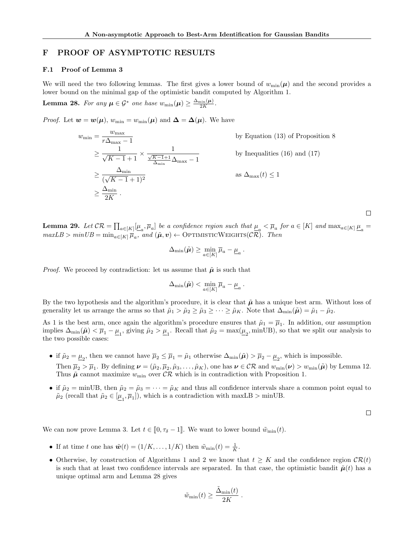# F PROOF OF ASYMPTOTIC RESULTS

#### <span id="page-27-0"></span>F.1 Proof of Lemma [3](#page-4-5)

We will need the two following lemmas. The first gives a lower bound of  $w_{\min}(\mu)$  and the second provides a lower bound on the minimal gap of the optimistic bandit computed by Algorithm [1.](#page-2-0)

<span id="page-27-1"></span>**Lemma 28.** For any  $\mu \in \mathcal{G}^*$  one hase  $w_{\min}(\mu) \geq \frac{\Delta_{\min}(\mu)}{2K}$ .

*Proof.* Let  $w = w(\mu)$ ,  $w_{\min} = w_{\min}(\mu)$  and  $\Delta = \Delta(\mu)$ . We have

$$
w_{\min} = \frac{w_{\max}}{r\Delta_{\max} - 1}
$$
 by Equation (13) of Proposition 8  
\n
$$
\geq \frac{1}{\sqrt{K - 1} + 1} \times \frac{1}{\frac{\sqrt{K - 1} + 1}{\Delta_{\min}}\Delta_{\max} - 1}
$$
 by Inequalities (16) and (17)  
\n
$$
\geq \frac{\Delta_{\min}}{(\sqrt{K - 1} + 1)^2}
$$
 as  $\Delta_{\max}(t) \leq 1$   
\n
$$
\geq \frac{\Delta_{\min}}{2K}.
$$

<span id="page-27-2"></span>**Lemma 29.** Let  $CR = \prod_{a \in [K]} [\underline{\mu}_a, \overline{\mu}_a]$  be a confidence region such that  $\underline{\mu}_a < \overline{\mu}_a$  for  $a \in [K]$  and  $\max_{a \in [K]} \underline{\mu}_a =$  $maxLB > minUB = min_{a \in [K]} \overline{\mu}_a$ , and  $(\tilde{\mu}, v) \leftarrow \text{OPTIMISTICWEIGHTS}(\mathcal{CR})$ . Then

$$
\Delta_{\min}(\tilde{\boldsymbol{\mu}}) \geq \min_{a \in [K]} \overline{\mu}_a - \underline{\mu}_a.
$$

*Proof.* We proceed by contradiction: let us assume that  $\tilde{\mu}$  is such that

$$
\Delta_{\min}(\tilde{\boldsymbol{\mu}}) < \min_{a \in [K]} \overline{\mu}_a - \underline{\mu}_a \,.
$$

By the two hypothesis and the algorithm's procedure, it is clear that  $\tilde{\mu}$  has a unique best arm. Without loss of generality let us arrange the arms so that  $\tilde{\mu}_1 > \tilde{\mu}_2 \ge \tilde{\mu}_3 \ge \cdots \ge \tilde{\mu}_K$ . Note that  $\Delta_{\min}(\tilde{\mu}) = \tilde{\mu}_1 - \tilde{\mu}_2$ .

As 1 is the best arm, once again the algorithm's procedure ensures that  $\tilde{\mu}_1 = \overline{\mu}_1$ . In addition, our assumption implies  $\Delta_{\min}(\tilde{\mu}) < \overline{\mu}_1 - \underline{\mu}_1$ , giving  $\tilde{\mu}_2 > \underline{\mu}_1$ . Recall that  $\tilde{\mu}_2 = \max(\underline{\mu}_2, \min \text{UB})$ , so that we split our analysis to the two possible cases:

- if  $\tilde{\mu}_2 = \underline{\mu}_2$ , then we cannot have  $\overline{\mu}_2 \le \overline{\mu}_1 = \tilde{\mu}_1$  otherwise  $\Delta_{\min}(\tilde{\mu}) > \overline{\mu}_2 \underline{\mu}_2$ , which is impossible. Then  $\overline{\mu}_2 > \overline{\mu}_1$ . By defining  $\boldsymbol{\nu} = (\tilde{\mu}_2, \overline{\mu}_2, \tilde{\mu}_3, \dots, \tilde{\mu}_K)$ , one has  $\boldsymbol{\nu} \in \mathcal{CR}$  and  $w_{\min}(\boldsymbol{\nu}) > w_{\min}(\tilde{\boldsymbol{\mu}})$  by Lemma [12.](#page-6-3) Thus  $\tilde{\mu}$  cannot maximize  $w_{\min}$  over  $CR$  which is in contradiction with Proposition [1.](#page-2-1)
- if  $\tilde{\mu}_2 = \min \text{UB}$ , then  $\tilde{\mu}_2 = \tilde{\mu}_3 = \cdots = \tilde{\mu}_K$  and thus all confidence intervals share a common point equal to  $\tilde{\mu}_2$  (recall that  $\tilde{\mu}_2 \in [\underline{\mu}_1, \overline{\mu}_1]$ ), which is a contradiction with maxLB > minUB.

 $\Box$ 

 $\Box$ 

We can now prove Lemma [3.](#page-4-5) Let  $t \in [0, \tau_{\delta} - 1]$ . We want to lower bound  $\tilde{w}_{\min}(t)$ .

- If at time t one has  $\tilde{\boldsymbol{w}}(t) = (1/K, \ldots, 1/K)$  then  $\tilde{w}_{\min}(t) = \frac{1}{K}$ .
- Otherwise, by construction of Algorithms [1](#page-2-0) and [2](#page-3-1) we know that  $t \geq K$  and the confidence region  $\mathcal{CR}(t)$ is such that at least two confidence intervals are separated. In that case, the optimistic bandit  $\tilde{\mu}(t)$  has a unique optimal arm and Lemma [28](#page-27-1) gives

$$
\tilde{w}_{\min}(t) \geq \frac{\tilde{\Delta}_{\min}(t)}{2K}
$$

.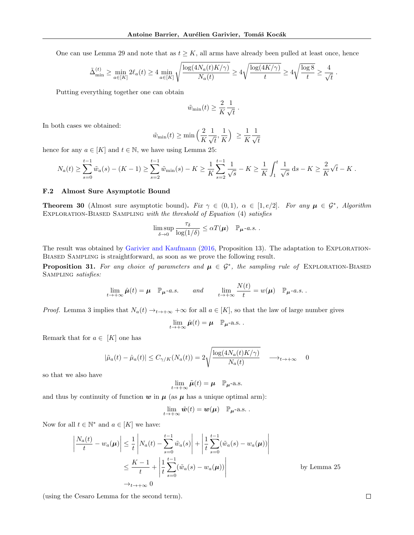One can use Lemma [29](#page-27-2) and note that as  $t \geq K$ , all arms have already been pulled at least once, hence

$$
\tilde{\Delta}_{\min}^{(t)} \ge \min_{a \in [K]} 2\ell_a(t) \ge 4 \min_{a \in [K]} \sqrt{\frac{\log(4N_a(t)K/\gamma)}{N_a(t)}} \ge 4\sqrt{\frac{\log(4K/\gamma)}{t}} \ge 4\sqrt{\frac{\log 8}{t}} \ge \frac{4}{\sqrt{t}}.
$$

Putting everything together one can obtain

$$
\tilde{w}_{\min}(t) \geq \frac{2}{K} \frac{1}{\sqrt{t}}.
$$

In both cases we obtained:

$$
\tilde{w}_{\min}(t) \ge \min\left(\frac{2}{K}\frac{1}{\sqrt{t}}, \frac{1}{K}\right) \ge \frac{1}{K}\frac{1}{\sqrt{t}}
$$

hence for any  $a \in [K]$  and  $t \in \mathbb{N}$ , we have using Lemma [25:](#page-25-3)

$$
N_a(t) \geq \sum_{s=0}^{t-1} \tilde{w}_a(s) - (K-1) \geq \sum_{s=2}^{t-1} \tilde{w}_{\min}(s) - K \geq \frac{1}{K} \sum_{s=2}^{t-1} \frac{1}{\sqrt{s}} - K \geq \frac{1}{K} \int_1^t \frac{1}{\sqrt{s}} ds - K \geq \frac{2}{K} \sqrt{t} - K.
$$

#### <span id="page-28-1"></span>F.2 Almost Sure Asymptotic Bound

<span id="page-28-0"></span>**Theorem 30** (Almost sure asymptotic bound). Fix  $\gamma \in (0,1)$ ,  $\alpha \in [1, e/2]$ . For any  $\mu \in \mathcal{G}^*$ , Algorithm EXPLORATION-BIASED SAMPLING with the threshold of Equation [\(4\)](#page-4-1) satisfies

$$
\limsup_{\delta \to 0} \frac{\tau_{\delta}}{\log(1/\delta)} \leq \alpha T(\boldsymbol{\mu}) \quad \mathbb{P}_{\boldsymbol{\mu}}\text{-}a.s.
$$

The result was obtained by [Garivier and Kaufmann](#page-9-3) [\(2016,](#page-9-3) Proposition 13). The adaptation to Exploration-Biased Sampling is straightforward, as soon as we prove the following result.

**Proposition 31.** For any choice of parameters and  $\mu \in \mathcal{G}^*$ , the sampling rule of EXPLORATION-BIASED Sampling satisfies:

$$
\lim_{t \to +\infty} \hat{\mu}(t) = \mu \quad \mathbb{P}_{\mu} \text{-} a.s. \qquad and \qquad \lim_{t \to +\infty} \frac{N(t)}{t} = w(\mu) \quad \mathbb{P}_{\mu} \text{-} a.s. .
$$

*Proof.* Lemma [3](#page-4-5) implies that  $N_a(t) \to_{t \to +\infty} +\infty$  for all  $a \in [K]$ , so that the law of large number gives

$$
\lim_{t\to+\infty}\hat{\boldsymbol{\mu}}(t)=\boldsymbol{\mu}\quad\mathbb{P}_{\boldsymbol{\mu}^{-}}\text{a.s.}.
$$

Remark that for  $a \in [K]$  one has

$$
|\tilde{\mu}_a(t) - \hat{\mu}_a(t)| \le C_{\gamma/K}(N_a(t)) = 2\sqrt{\frac{\log(4N_a(t)K/\gamma)}{N_a(t)}} \longrightarrow_{t \to +\infty} 0
$$

so that we also have

$$
\lim_{t \to +\infty} \tilde{\boldsymbol{\mu}}(t) = \boldsymbol{\mu} \quad \mathbb{P}_{\boldsymbol{\mu}^{-a.s.}}
$$

and thus by continuity of function  $w$  in  $\mu$  (as  $\mu$  has a unique optimal arm):

$$
\lim_{t\to+\infty}\tilde{\boldsymbol{w}}(t)=\boldsymbol{w}(\boldsymbol{\mu})\quad\mathbb{P}_{\boldsymbol{\mu}}\text{-a.s.}.
$$

Now for all  $t \in \mathbb{N}^*$  and  $a \in [K]$  we have:

$$
\left| \frac{N_a(t)}{t} - w_a(\boldsymbol{\mu}) \right| \leq \frac{1}{t} \left| N_a(t) - \sum_{s=0}^{t-1} \tilde{w}_a(s) \right| + \left| \frac{1}{t} \sum_{s=0}^{t-1} (\tilde{w}_a(s) - w_a(\boldsymbol{\mu})) \right|
$$
  

$$
\leq \frac{K-1}{t} + \left| \frac{1}{t} \sum_{s=0}^{t-1} (\tilde{w}_a(s) - w_a(\boldsymbol{\mu})) \right|
$$
by Lemma 25  

$$
\to_{t \to +\infty} 0
$$

(using the Cesaro Lemma for the second term).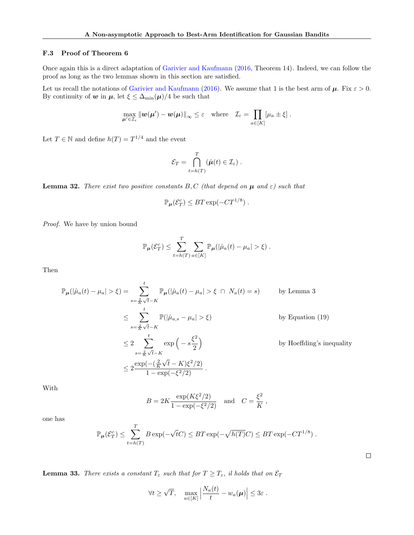## <span id="page-29-0"></span>F.3 Proof of Theorem [6](#page-4-4)

Once again this is a direct adaptation of [Garivier and Kaufmann](#page-9-3) [\(2016,](#page-9-3) Theorem 14). Indeed, we can follow the proof as long as the two lemmas shown in this section are satisfied.

Let us recall the notations of [Garivier and Kaufmann](#page-9-3) [\(2016\)](#page-9-3). We assume that 1 is the best arm of  $\mu$ . Fix  $\varepsilon > 0$ . By continuity of w in  $\mu$ , let  $\xi \leq \Delta_{\min}(\mu)/4$  be such that

$$
\max_{\mu' \in \mathcal{I}_{\varepsilon}} \|\boldsymbol{w}(\boldsymbol{\mu}') - \boldsymbol{w}(\boldsymbol{\mu})\|_{\infty} \leq \varepsilon \quad \text{where} \quad \mathcal{I}_{\varepsilon} = \prod_{a \in [K]} [\mu_a \pm \xi].
$$

Let  $T \in \mathbb{N}$  and define  $h(T) = T^{1/4}$  and the event

$$
\mathcal{E}_T = \bigcap_{t=h(T)}^T (\hat{\boldsymbol{\mu}}(t) \in \mathcal{I}_{\varepsilon}) \ .
$$

**Lemma 32.** There exist two positive constants  $B, C$  (that depend on  $\mu$  and  $\varepsilon$ ) such that

$$
\mathbb{P}_{\boldsymbol{\mu}}(\mathcal{E}_T^c) \leq BT \exp(-CT^{1/8}).
$$

Proof. We have by union bound

$$
\mathbb{P}_{\mu}(\mathcal{E}_T^c) \leq \sum_{t=h(T)}^T \sum_{a \in [K]} \mathbb{P}_{\mu}(|\hat{\mu}_a(t) - \mu_a| > \xi).
$$

Then

$$
\mathbb{P}_{\mu}(|\hat{\mu}_{a}(t) - \mu_{a}| > \xi) = \sum_{s = \frac{2}{K}\sqrt{t} - K}^{t} \mathbb{P}_{\mu}(|\hat{\mu}_{a}(t) - \mu_{a}| > \xi \cap N_{a}(t) = s) \qquad \text{by Lemma 3}
$$
  
\n
$$
\leq \sum_{s = \frac{2}{K}\sqrt{t} - K}^{t} \mathbb{P}(|\hat{\mu}_{a,s} - \mu_{a}| > \xi) \qquad \text{by Equation (19)}
$$
  
\n
$$
\leq 2 \sum_{s = \frac{2}{K}\sqrt{t} - K}^{t} \exp\left(-s\frac{\xi^{2}}{2}\right) \qquad \text{by Hoeffding's inequality}
$$
  
\n
$$
\leq 2 \frac{\exp(-( \frac{2}{K}\sqrt{t} - K)\xi^{2}/2)}{1 - \exp(-\xi^{2}/2)}.
$$

With

$$
B = 2K \frac{\exp(K\xi^2/2)}{1 - \exp(-\xi^2/2)}
$$
 and  $C = \frac{\xi^2}{K}$ ,

one has

$$
\mathbb{P}_{\boldsymbol{\mu}}(\mathcal{E}_T^c) \leq \sum_{t=h(T)}^T B \exp(-\sqrt{t}C) \leq BT \exp(-\sqrt{h(T)}C) \leq BT \exp(-CT^{1/8}).
$$

**Lemma 33.** There exists a constant  $T_{\varepsilon}$  such that for  $T \geq T_{\varepsilon}$ , il holds that on  $\mathcal{E}_T$ 

$$
\forall t \geq \sqrt{T}, \quad \max_{a \in [K]} \left| \frac{N_a(t)}{t} - w_a(\mu) \right| \leq 3\varepsilon.
$$

 $\Box$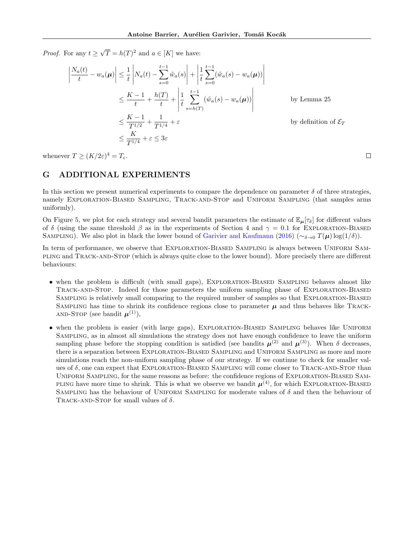*Proof.* For any  $t \geq$ √  $\overline{T} = h(T)^2$  and  $a \in [K]$  we have:

$$
\left| \frac{N_a(t)}{t} - w_a(\mu) \right| \leq \frac{1}{t} \left| N_a(t) - \sum_{s=0}^{t-1} \tilde{w}_a(s) \right| + \left| \frac{1}{t} \sum_{s=0}^{t-1} (\tilde{w}_a(s) - w_a(\mu)) \right|
$$
  
\n
$$
\leq \frac{K-1}{t} + \frac{h(T)}{t} + \left| \frac{1}{t} \sum_{s=h(T)}^{t-1} (\tilde{w}_a(s) - w_a(\mu)) \right|
$$
by Lemma 25  
\n
$$
\leq \frac{K-1}{T^{1/2}} + \frac{1}{T^{1/4}} + \varepsilon
$$
by definition of  $\mathcal{E}_T$   
\n
$$
\leq \frac{K}{T^{1/4}} + \varepsilon \leq 3\varepsilon
$$

whenever  $T \ge (K/2\varepsilon)^4 = T_\varepsilon$ .

# <span id="page-30-0"></span>G ADDITIONAL EXPERIMENTS

In this section we present numerical experiments to compare the dependence on parameter  $\delta$  of three strategies, namely Exploration-Biased Sampling, Track-and-Stop and Uniform Sampling (that samples arms uniformly).

On Figure [5,](#page-31-0) we plot for each strategy and several bandit parameters the estimate of  $\mathbb{E}_{\mu}[\tau_{\delta}]$  for different values of δ (using the same threshold  $\beta$  as in the experiments of Section [4](#page-6-0) and  $\gamma = 0.1$  for EXPLORATION-BIASED SAMPLING). We also plot in black the lower bound of [Garivier and Kaufmann](#page-9-3) [\(2016\)](#page-9-3) (∼δ→0  $T(\mu) \log(1/\delta)$ ).

In term of performance, we observe that EXPLORATION-BIASED SAMPLING is always between UNIFORM SAMpling and Track-and-Stop (which is always quite close to the lower bound). More precisely there are different behaviours:

- when the problem is difficult (with small gaps), EXPLORATION-BIASED SAMPLING behaves almost like TRACK-AND-STOP. Indeed for those parameters the uniform sampling phase of EXPLORATION-BIASED SAMPLING is relatively small comparing to the required number of samples so that EXPLORATION-BIASED SAMPLING has time to shrink its confidence regions close to parameter  $\mu$  and thus behaves like TRACK-AND-STOP (see bandit  $\boldsymbol{\mu}^{(1)}$ ),
- when the problem is easier (with large gaps), EXPLORATION-BIASED SAMPLING behaves like UNIFORM Sampling, as in almost all simulations the strategy does not have enough confidence to leave the uniform sampling phase before the stopping condition is satisfied (see bandits  $\mu^{(2)}$  and  $\mu^{(3)}$ ). When  $\delta$  decreases, there is a separation between Exploration-Biased Sampling and Uniform Sampling as more and more simulations reach the non-uniform sampling phase of our strategy. If we continue to check for smaller values of  $\delta$ , one can expect that EXPLORATION-BIASED SAMPLING will come closer to TRACK-AND-STOP than UNIFORM SAMPLING, for the same reasons as before: the confidence regions of EXPLORATION-BIASED SAM-PLING have more time to shrink. This is what we observe we bandit  $\mu^{(4)}$ , for which EXPLORATION-BIASED SAMPLING has the behaviour of UNIFORM SAMPLING for moderate values of  $\delta$  and then the behaviour of TRACK-AND-STOP for small values of  $\delta$ .

 $\Box$